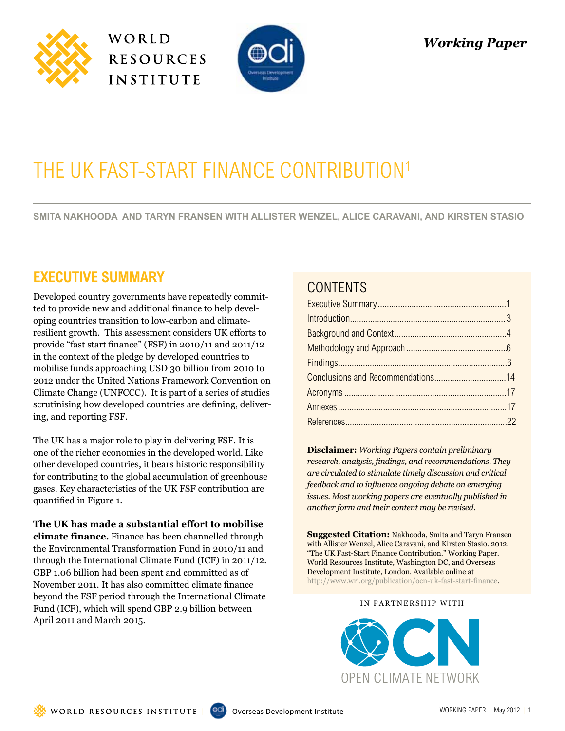





# THE UK FAST-START FINANCE CONTRIBUTION<sup>1</sup>

**Smita Nakhooda and Taryn Fransen with Allister Wenzel, Alice Caravani, and Kirsten Stasio**

# **executive Summary**

Developed country governments have repeatedly committed to provide new and additional finance to help developing countries transition to low-carbon and climateresilient growth. This assessment considers UK efforts to provide "fast start finance" (FSF) in 2010/11 and 2011/12 in the context of the pledge by developed countries to mobilise funds approaching USD 30 billion from 2010 to 2012 under the United Nations Framework Convention on Climate Change (UNFCCC). It is part of a series of studies scrutinising how developed countries are defining, delivering, and reporting FSF.

The UK has a major role to play in delivering FSF. It is one of the richer economies in the developed world. Like other developed countries, it bears historic responsibility for contributing to the global accumulation of greenhouse gases. Key characteristics of the UK FSF contribution are quantified in Figure 1.

#### **The UK has made a substantial effort to mobilise**

**climate finance.** Finance has been channelled through the Environmental Transformation Fund in 2010/11 and through the International Climate Fund (ICF) in 2011/12. GBP 1.06 billion had been spent and committed as of November 2011. It has also committed climate finance beyond the FSF period through the International Climate Fund (ICF), which will spend GBP 2.9 billion between April 2011 and March 2015.

# **CONTENTS**

**Disclaimer:** *Working Papers contain preliminary research, analysis, findings, and recommendations. They are circulated to stimulate timely discussion and critical feedback and to influence ongoing debate on emerging issues. Most working papers are eventually published in another form and their content may be revised.*

**Suggested Citation:** Nakhooda, Smita and Taryn Fransen with Allister Wenzel, Alice Caravani, and Kirsten Stasio. 2012. "The UK Fast-Start Finance Contribution." Working Paper. World Resources Institute, Washington DC, and Overseas Development Institute, London. Available online at http://www.wri.org/publication/ocn-uk-fast-start-finance.

#### IN PARTNERSHIP WITH

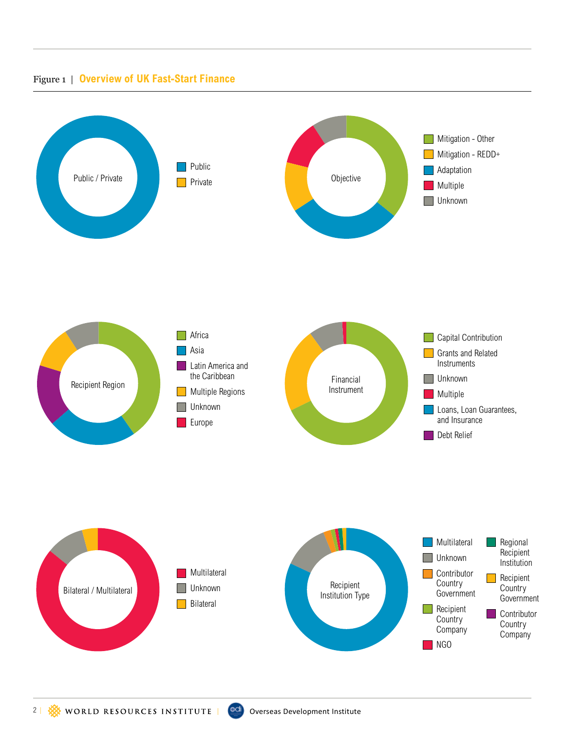#### Figure 1 | **Overview of UK Fast-Start Finance**

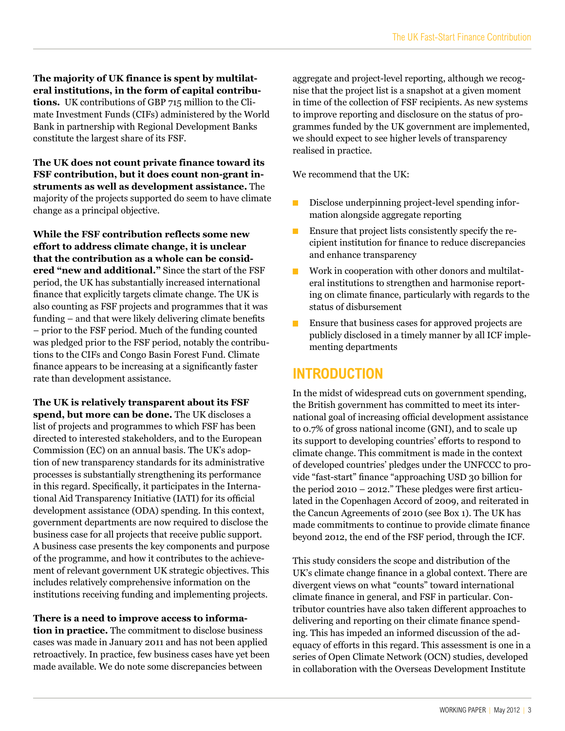**The majority of UK finance is spent by multilateral institutions, in the form of capital contributions.** UK contributions of GBP 715 million to the Climate Investment Funds (CIFs) administered by the World Bank in partnership with Regional Development Banks constitute the largest share of its FSF.

**The UK does not count private finance toward its FSF contribution, but it does count non-grant instruments as well as development assistance.** The majority of the projects supported do seem to have climate change as a principal objective.

**While the FSF contribution reflects some new effort to address climate change, it is unclear that the contribution as a whole can be considered "new and additional."** Since the start of the FSF period, the UK has substantially increased international finance that explicitly targets climate change. The UK is also counting as FSF projects and programmes that it was funding – and that were likely delivering climate benefits – prior to the FSF period. Much of the funding counted was pledged prior to the FSF period, notably the contributions to the CIFs and Congo Basin Forest Fund. Climate finance appears to be increasing at a significantly faster rate than development assistance.

**The UK is relatively transparent about its FSF spend, but more can be done.** The UK discloses a list of projects and programmes to which FSF has been directed to interested stakeholders, and to the European Commission (EC) on an annual basis. The UK's adoption of new transparency standards for its administrative processes is substantially strengthening its performance in this regard. Specifically, it participates in the International Aid Transparency Initiative (IATI) for its official development assistance (ODA) spending. In this context, government departments are now required to disclose the business case for all projects that receive public support. A business case presents the key components and purpose of the programme, and how it contributes to the achievement of relevant government UK strategic objectives. This includes relatively comprehensive information on the institutions receiving funding and implementing projects.

**There is a need to improve access to information in practice.** The commitment to disclose business cases was made in January 2011 and has not been applied retroactively. In practice, few business cases have yet been made available. We do note some discrepancies between

aggregate and project-level reporting, although we recognise that the project list is a snapshot at a given moment in time of the collection of FSF recipients. As new systems to improve reporting and disclosure on the status of programmes funded by the UK government are implemented, we should expect to see higher levels of transparency realised in practice.

We recommend that the UK:

- Disclose underpinning project-level spending information alongside aggregate reporting
- Ensure that project lists consistently specify the re-**The Second** cipient institution for finance to reduce discrepancies and enhance transparency
- Work in cooperation with other donors and multilatп eral institutions to strengthen and harmonise reporting on climate finance, particularly with regards to the status of disbursement
- Ensure that business cases for approved projects are publicly disclosed in a timely manner by all ICF implementing departments

# **Introduction**

In the midst of widespread cuts on government spending, the British government has committed to meet its international goal of increasing official development assistance to 0.7% of gross national income (GNI), and to scale up its support to developing countries' efforts to respond to climate change. This commitment is made in the context of developed countries' pledges under the UNFCCC to provide "fast-start" finance "approaching USD 30 billion for the period 2010 – 2012." These pledges were first articulated in the Copenhagen Accord of 2009, and reiterated in the Cancun Agreements of 2010 (see Box 1). The UK has made commitments to continue to provide climate finance beyond 2012, the end of the FSF period, through the ICF.

This study considers the scope and distribution of the UK's climate change finance in a global context. There are divergent views on what "counts" toward international climate finance in general, and FSF in particular. Contributor countries have also taken different approaches to delivering and reporting on their climate finance spending. This has impeded an informed discussion of the adequacy of efforts in this regard. This assessment is one in a series of Open Climate Network (OCN) studies, developed in collaboration with the Overseas Development Institute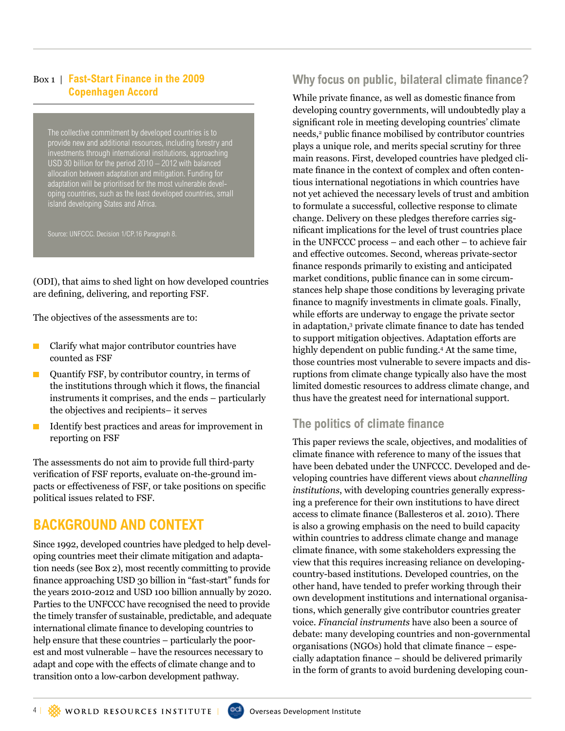#### Box 1 | **Fast-Start Finance in the 2009 Copenhagen Accord**

The collective commitment by developed countries is to provide new and additional resources, including forestry and investments through international institutions, approaching USD 30 billion for the period 2010 – 2012 with balanced allocation between adaptation and mitigation. Funding for adaptation will be prioritised for the most vulnerable developing countries, such as the least developed countries, small island developing States and Africa.

Source: UNFCCC. Decision 1/CP.16 Paragraph 8.

(ODI), that aims to shed light on how developed countries are defining, delivering, and reporting FSF.

The objectives of the assessments are to:

- **Clarify what major contributor countries have** counted as FSF
- $\blacksquare$  Quantify FSF, by contributor country, in terms of the institutions through which it flows, the financial instruments it comprises, and the ends – particularly the objectives and recipients– it serves
- $\blacksquare$  Identify best practices and areas for improvement in reporting on FSF

The assessments do not aim to provide full third-party verification of FSF reports, evaluate on-the-ground impacts or effectiveness of FSF, or take positions on specific political issues related to FSF.

# **Background and Context**

Since 1992, developed countries have pledged to help developing countries meet their climate mitigation and adaptation needs (see Box 2), most recently committing to provide finance approaching USD 30 billion in "fast-start" funds for the years 2010-2012 and USD 100 billion annually by 2020. Parties to the UNFCCC have recognised the need to provide the timely transfer of sustainable, predictable, and adequate international climate finance to developing countries to help ensure that these countries – particularly the poorest and most vulnerable – have the resources necessary to adapt and cope with the effects of climate change and to transition onto a low-carbon development pathway.

# **Why focus on public, bilateral climate finance?**

While private finance, as well as domestic finance from developing country governments, will undoubtedly play a significant role in meeting developing countries' climate needs,<sup>2</sup> public finance mobilised by contributor countries plays a unique role, and merits special scrutiny for three main reasons. First, developed countries have pledged climate finance in the context of complex and often contentious international negotiations in which countries have not yet achieved the necessary levels of trust and ambition to formulate a successful, collective response to climate change. Delivery on these pledges therefore carries significant implications for the level of trust countries place in the UNFCCC process – and each other – to achieve fair and effective outcomes. Second, whereas private-sector finance responds primarily to existing and anticipated market conditions, public finance can in some circumstances help shape those conditions by leveraging private finance to magnify investments in climate goals. Finally, while efforts are underway to engage the private sector in adaptation,3 private climate finance to date has tended to support mitigation objectives. Adaptation efforts are highly dependent on public funding.4 At the same time, those countries most vulnerable to severe impacts and disruptions from climate change typically also have the most limited domestic resources to address climate change, and thus have the greatest need for international support.

#### **The politics of climate finance**

This paper reviews the scale, objectives, and modalities of climate finance with reference to many of the issues that have been debated under the UNFCCC. Developed and developing countries have different views about *channelling institutions*, with developing countries generally expressing a preference for their own institutions to have direct access to climate finance (Ballesteros et al. 2010). There is also a growing emphasis on the need to build capacity within countries to address climate change and manage climate finance, with some stakeholders expressing the view that this requires increasing reliance on developingcountry-based institutions. Developed countries, on the other hand, have tended to prefer working through their own development institutions and international organisations, which generally give contributor countries greater voice. *Financial instruments* have also been a source of debate: many developing countries and non-governmental organisations (NGOs) hold that climate finance – especially adaptation finance – should be delivered primarily in the form of grants to avoid burdening developing coun-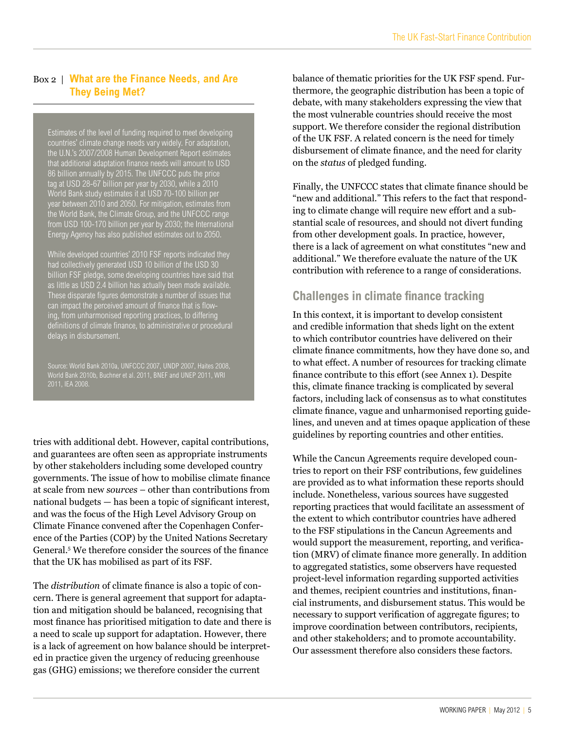#### Box 2 | **What are the Finance Needs, and Are They Being Met?**

Estimates of the level of funding required to meet developing countries' climate change needs vary widely. For adaptation, the U.N.'s 2007/2008 Human Development Report estimates that additional adaptation finance needs will amount to USD 86 billion annually by 2015. The UNFCCC puts the price tag at USD 28-67 billion per year by 2030, while a 2010 World Bank study estimates it at USD 70-100 billion per year between 2010 and 2050. For mitigation, estimates from the World Bank, the Climate Group, and the UNFCCC range from USD 100-170 billion per year by 2030; the International Energy Agency has also published estimates out to 2050.

While developed countries' 2010 FSF reports indicated they had collectively generated USD 10 billion of the USD 30 billion FSF pledge, some developing countries have said that as little as USD 2.4 billion has actually been made available. These disparate figures demonstrate a number of issues that can impact the perceived amount of finance that is flowing, from unharmonised reporting practices, to differing definitions of climate finance, to administrative or procedural delays in disbursement.

World Bank 2010b, Buchner et al. 2011, BNEF and UNEP 2011, WRI 2011, IEA 2008.

tries with additional debt. However, capital contributions, and guarantees are often seen as appropriate instruments by other stakeholders including some developed country governments. The issue of how to mobilise climate finance at scale from new *sources* – other than contributions from national budgets — has been a topic of significant interest, and was the focus of the High Level Advisory Group on Climate Finance convened after the Copenhagen Conference of the Parties (COP) by the United Nations Secretary General.<sup>5</sup> We therefore consider the sources of the finance that the UK has mobilised as part of its FSF.

The *distribution* of climate finance is also a topic of concern. There is general agreement that support for adaptation and mitigation should be balanced, recognising that most finance has prioritised mitigation to date and there is a need to scale up support for adaptation. However, there is a lack of agreement on how balance should be interpreted in practice given the urgency of reducing greenhouse gas (GHG) emissions; we therefore consider the current

balance of thematic priorities for the UK FSF spend. Furthermore, the geographic distribution has been a topic of debate, with many stakeholders expressing the view that the most vulnerable countries should receive the most support. We therefore consider the regional distribution of the UK FSF. A related concern is the need for timely disbursement of climate finance, and the need for clarity on the *status* of pledged funding.

Finally, the UNFCCC states that climate finance should be "new and additional." This refers to the fact that responding to climate change will require new effort and a substantial scale of resources, and should not divert funding from other development goals. In practice, however, there is a lack of agreement on what constitutes "new and additional." We therefore evaluate the nature of the UK contribution with reference to a range of considerations.

#### **Challenges in climate finance tracking**

In this context, it is important to develop consistent and credible information that sheds light on the extent to which contributor countries have delivered on their climate finance commitments, how they have done so, and to what effect. A number of resources for tracking climate finance contribute to this effort (see Annex 1). Despite this, climate finance tracking is complicated by several factors, including lack of consensus as to what constitutes climate finance, vague and unharmonised reporting guidelines, and uneven and at times opaque application of these guidelines by reporting countries and other entities.

While the Cancun Agreements require developed countries to report on their FSF contributions, few guidelines are provided as to what information these reports should include. Nonetheless, various sources have suggested reporting practices that would facilitate an assessment of the extent to which contributor countries have adhered to the FSF stipulations in the Cancun Agreements and would support the measurement, reporting, and verification (MRV) of climate finance more generally. In addition to aggregated statistics, some observers have requested project-level information regarding supported activities and themes, recipient countries and institutions, financial instruments, and disbursement status. This would be necessary to support verification of aggregate figures; to improve coordination between contributors, recipients, and other stakeholders; and to promote accountability. Our assessment therefore also considers these factors.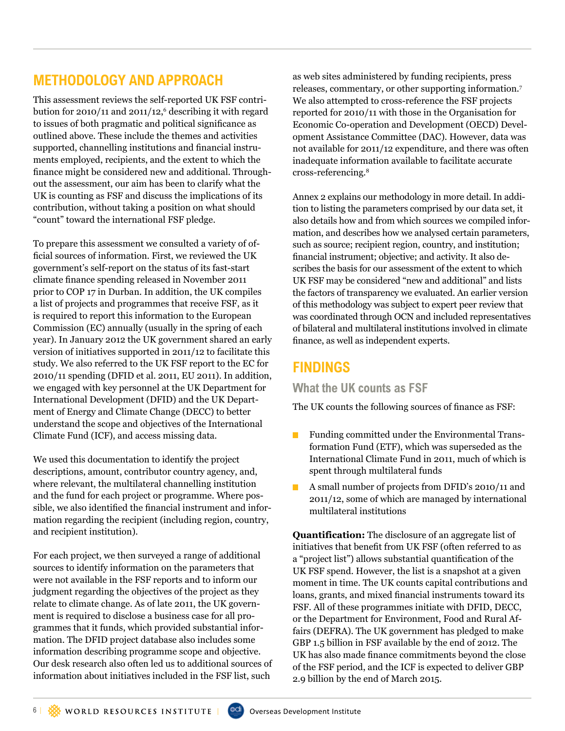# **Methodology and Approach**

This assessment reviews the self-reported UK FSF contribution for 2010/11 and 2011/12, $^6$  describing it with regard to issues of both pragmatic and political significance as outlined above. These include the themes and activities supported, channelling institutions and financial instruments employed, recipients, and the extent to which the finance might be considered new and additional. Throughout the assessment, our aim has been to clarify what the UK is counting as FSF and discuss the implications of its contribution, without taking a position on what should "count" toward the international FSF pledge.

To prepare this assessment we consulted a variety of official sources of information. First, we reviewed the UK government's self-report on the status of its fast-start climate finance spending released in November 2011 prior to COP 17 in Durban. In addition, the UK compiles a list of projects and programmes that receive FSF, as it is required to report this information to the European Commission (EC) annually (usually in the spring of each year). In January 2012 the UK government shared an early version of initiatives supported in 2011/12 to facilitate this study. We also referred to the UK FSF report to the EC for 2010/11 spending (DFID et al. 2011, EU 2011). In addition, we engaged with key personnel at the UK Department for International Development (DFID) and the UK Department of Energy and Climate Change (DECC) to better understand the scope and objectives of the International Climate Fund (ICF), and access missing data.

We used this documentation to identify the project descriptions, amount, contributor country agency, and, where relevant, the multilateral channelling institution and the fund for each project or programme. Where possible, we also identified the financial instrument and information regarding the recipient (including region, country, and recipient institution).

For each project, we then surveyed a range of additional sources to identify information on the parameters that were not available in the FSF reports and to inform our judgment regarding the objectives of the project as they relate to climate change. As of late 2011, the UK government is required to disclose a business case for all programmes that it funds, which provided substantial information. The DFID project database also includes some information describing programme scope and objective. Our desk research also often led us to additional sources of information about initiatives included in the FSF list, such

as web sites administered by funding recipients, press releases, commentary, or other supporting information.<sup>7</sup> We also attempted to cross-reference the FSF projects reported for 2010/11 with those in the Organisation for Economic Co-operation and Development (OECD) Development Assistance Committee (DAC). However, data was not available for 2011/12 expenditure, and there was often inadequate information available to facilitate accurate cross-referencing.8

Annex 2 explains our methodology in more detail. In addition to listing the parameters comprised by our data set, it also details how and from which sources we compiled information, and describes how we analysed certain parameters, such as source; recipient region, country, and institution; financial instrument; objective; and activity. It also describes the basis for our assessment of the extent to which UK FSF may be considered "new and additional" and lists the factors of transparency we evaluated. An earlier version of this methodology was subject to expert peer review that was coordinated through OCN and included representatives of bilateral and multilateral institutions involved in climate finance, as well as independent experts.

# **Findings**

**What the UK counts as FSF** 

The UK counts the following sources of finance as FSF:

- **Funding committed under the Environmental Trans**formation Fund (ETF), which was superseded as the International Climate Fund in 2011, much of which is spent through multilateral funds
- A small number of projects from DFID's 2010/11 and 2011/12, some of which are managed by international multilateral institutions

**Quantification:** The disclosure of an aggregate list of initiatives that benefit from UK FSF (often referred to as a "project list") allows substantial quantification of the UK FSF spend. However, the list is a snapshot at a given moment in time. The UK counts capital contributions and loans, grants, and mixed financial instruments toward its FSF. All of these programmes initiate with DFID, DECC, or the Department for Environment, Food and Rural Affairs (DEFRA). The UK government has pledged to make GBP 1.5 billion in FSF available by the end of 2012. The UK has also made finance commitments beyond the close of the FSF period, and the ICF is expected to deliver GBP 2.9 billion by the end of March 2015.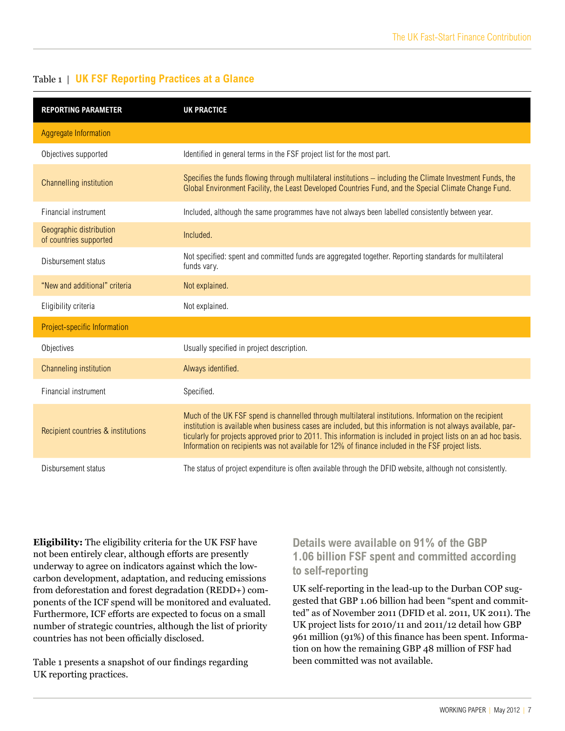| <b>REPORTING PARAMETER</b>                        | <b>UK PRACTICE</b>                                                                                                                                                                                                                                                                                                                                                                                                                               |
|---------------------------------------------------|--------------------------------------------------------------------------------------------------------------------------------------------------------------------------------------------------------------------------------------------------------------------------------------------------------------------------------------------------------------------------------------------------------------------------------------------------|
| <b>Aggregate Information</b>                      |                                                                                                                                                                                                                                                                                                                                                                                                                                                  |
| Objectives supported                              | Identified in general terms in the FSF project list for the most part.                                                                                                                                                                                                                                                                                                                                                                           |
| Channelling institution                           | Specifies the funds flowing through multilateral institutions - including the Climate Investment Funds, the<br>Global Environment Facility, the Least Developed Countries Fund, and the Special Climate Change Fund.                                                                                                                                                                                                                             |
| Financial instrument                              | Included, although the same programmes have not always been labelled consistently between year.                                                                                                                                                                                                                                                                                                                                                  |
| Geographic distribution<br>of countries supported | Included.                                                                                                                                                                                                                                                                                                                                                                                                                                        |
| Disbursement status                               | Not specified: spent and committed funds are aggregated together. Reporting standards for multilateral<br>funds vary.                                                                                                                                                                                                                                                                                                                            |
| "New and additional" criteria                     | Not explained.                                                                                                                                                                                                                                                                                                                                                                                                                                   |
| Eligibility criteria                              | Not explained.                                                                                                                                                                                                                                                                                                                                                                                                                                   |
| Project-specific Information                      |                                                                                                                                                                                                                                                                                                                                                                                                                                                  |
| Objectives                                        | Usually specified in project description.                                                                                                                                                                                                                                                                                                                                                                                                        |
| Channeling institution                            | Always identified.                                                                                                                                                                                                                                                                                                                                                                                                                               |
| Financial instrument                              | Specified.                                                                                                                                                                                                                                                                                                                                                                                                                                       |
| Recipient countries & institutions                | Much of the UK FSF spend is channelled through multilateral institutions. Information on the recipient<br>institution is available when business cases are included, but this information is not always available, par-<br>ticularly for projects approved prior to 2011. This information is included in project lists on an ad hoc basis.<br>Information on recipients was not available for 12% of finance included in the FSF project lists. |
| Disbursement status                               | The status of project expenditure is often available through the DFID website, although not consistently.                                                                                                                                                                                                                                                                                                                                        |

#### Table 1 | **UK FSF Reporting Practices at a Glance**

**Eligibility:** The eligibility criteria for the UK FSF have not been entirely clear, although efforts are presently underway to agree on indicators against which the lowcarbon development, adaptation, and reducing emissions from deforestation and forest degradation (REDD+) components of the ICF spend will be monitored and evaluated. Furthermore, ICF efforts are expected to focus on a small number of strategic countries, although the list of priority countries has not been officially disclosed.

Table 1 presents a snapshot of our findings regarding UK reporting practices.

#### **Details were available on 91% of the GBP 1.06 billion FSF spent and committed according to self-reporting**

UK self-reporting in the lead-up to the Durban COP suggested that GBP 1.06 billion had been "spent and committed" as of November 2011 (DFID et al. 2011, UK 2011). The UK project lists for 2010/11 and 2011/12 detail how GBP 961 million (91%) of this finance has been spent. Information on how the remaining GBP 48 million of FSF had been committed was not available.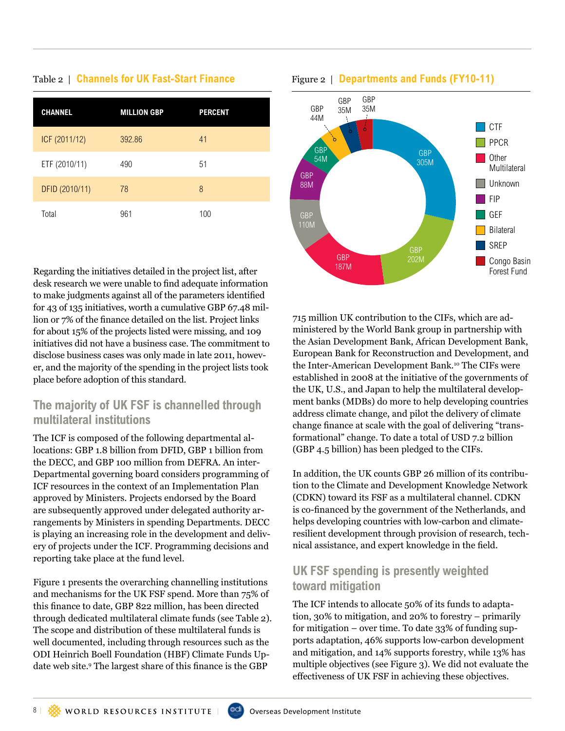# **channel million GBP Percent**

| ICF (2011/12)  | 392.86 | 41  |
|----------------|--------|-----|
| ETF (2010/11)  | 490    | 51  |
| DFID (2010/11) | 78     | 8   |
| Total          | 961    | 100 |

Regarding the initiatives detailed in the project list, after desk research we were unable to find adequate information to make judgments against all of the parameters identified for 43 of 135 initiatives, worth a cumulative GBP 67.48 million or 7% of the finance detailed on the list. Project links for about 15% of the projects listed were missing, and 109 initiatives did not have a business case. The commitment to disclose business cases was only made in late 2011, however, and the majority of the spending in the project lists took place before adoption of this standard.

### **The majority of UK FSF is channelled through multilateral institutions**

The ICF is composed of the following departmental allocations: GBP 1.8 billion from DFID, GBP 1 billion from the DECC, and GBP 100 million from DEFRA. An inter-Departmental governing board considers programming of ICF resources in the context of an Implementation Plan approved by Ministers. Projects endorsed by the Board are subsequently approved under delegated authority arrangements by Ministers in spending Departments. DECC is playing an increasing role in the development and delivery of projects under the ICF. Programming decisions and reporting take place at the fund level.

Figure 1 presents the overarching channelling institutions and mechanisms for the UK FSF spend. More than 75% of this finance to date, GBP 822 million, has been directed through dedicated multilateral climate funds (see Table 2). The scope and distribution of these multilateral funds is well documented, including through resources such as the ODI Heinrich Boell Foundation (HBF) Climate Funds Update web site.<sup>9</sup> The largest share of this finance is the GBP



#### Table 2 | **Channels for UK Fast-Start Finance** Figure 2 | Departments and Funds (FY10-11)

715 million UK contribution to the CIFs, which are administered by the World Bank group in partnership with the Asian Development Bank, African Development Bank, European Bank for Reconstruction and Development, and the Inter-American Development Bank.<sup>10</sup> The CIFs were established in 2008 at the initiative of the governments of the UK, U.S., and Japan to help the multilateral development banks (MDBs) do more to help developing countries address climate change, and pilot the delivery of climate change finance at scale with the goal of delivering "transformational" change. To date a total of USD 7.2 billion (GBP 4.5 billion) has been pledged to the CIFs.

In addition, the UK counts GBP 26 million of its contribution to the Climate and Development Knowledge Network (CDKN) toward its FSF as a multilateral channel. CDKN is co-financed by the government of the Netherlands, and helps developing countries with low-carbon and climateresilient development through provision of research, technical assistance, and expert knowledge in the field.

#### **UK FSF spending is presently weighted toward mitigation**

The ICF intends to allocate 50% of its funds to adaptation, 30% to mitigation, and 20% to forestry – primarily for mitigation – over time. To date 33% of funding supports adaptation, 46% supports low-carbon development and mitigation, and 14% supports forestry, while 13% has multiple objectives (see Figure 3). We did not evaluate the effectiveness of UK FSF in achieving these objectives.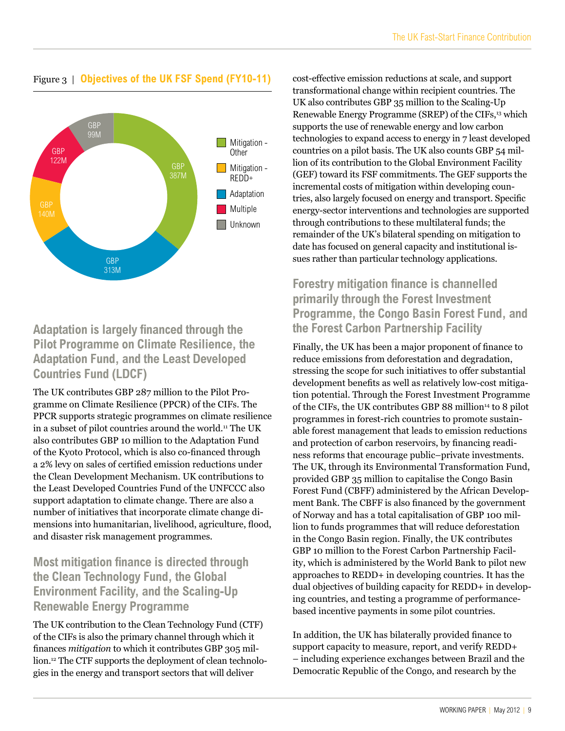

# Figure 3 | **Objectives of the UK FSF Spend (FY10-11)**

#### **Adaptation is largely financed through the Pilot Programme on Climate Resilience, the Adaptation Fund, and the Least Developed Countries Fund (LDCF)**

The UK contributes GBP 287 million to the Pilot Programme on Climate Resilience (PPCR) of the CIFs. The PPCR supports strategic programmes on climate resilience in a subset of pilot countries around the world.<sup>11</sup> The UK also contributes GBP 10 million to the Adaptation Fund of the Kyoto Protocol, which is also co-financed through a 2% levy on sales of certified emission reductions under the Clean Development Mechanism. UK contributions to the Least Developed Countries Fund of the UNFCCC also support adaptation to climate change. There are also a number of initiatives that incorporate climate change dimensions into humanitarian, livelihood, agriculture, flood, and disaster risk management programmes.

#### **Most mitigation finance is directed through the Clean Technology Fund, the Global Environment Facility, and the Scaling-Up Renewable Energy Programme**

The UK contribution to the Clean Technology Fund (CTF) of the CIFs is also the primary channel through which it finances *mitigation* to which it contributes GBP 305 million.12 The CTF supports the deployment of clean technologies in the energy and transport sectors that will deliver

cost-effective emission reductions at scale, and support transformational change within recipient countries. The UK also contributes GBP 35 million to the Scaling-Up Renewable Energy Programme (SREP) of the CIFs,<sup>13</sup> which supports the use of renewable energy and low carbon technologies to expand access to energy in 7 least developed countries on a pilot basis. The UK also counts GBP 54 million of its contribution to the Global Environment Facility (GEF) toward its FSF commitments. The GEF supports the incremental costs of mitigation within developing countries, also largely focused on energy and transport. Specific energy-sector interventions and technologies are supported through contributions to these multilateral funds; the remainder of the UK's bilateral spending on mitigation to date has focused on general capacity and institutional issues rather than particular technology applications.

#### **Forestry mitigation finance is channelled primarily through the Forest Investment Programme, the Congo Basin Forest Fund, and the Forest Carbon Partnership Facility**

Finally, the UK has been a major proponent of finance to reduce emissions from deforestation and degradation, stressing the scope for such initiatives to offer substantial development benefits as well as relatively low-cost mitigation potential. Through the Forest Investment Programme of the CIFs, the UK contributes GBP 88 million<sup>14</sup> to 8 pilot programmes in forest-rich countries to promote sustainable forest management that leads to emission reductions and protection of carbon reservoirs, by financing readiness reforms that encourage public–private investments. The UK, through its Environmental Transformation Fund, provided GBP 35 million to capitalise the Congo Basin Forest Fund (CBFF) administered by the African Development Bank. The CBFF is also financed by the government of Norway and has a total capitalisation of GBP 100 million to funds programmes that will reduce deforestation in the Congo Basin region. Finally, the UK contributes GBP 10 million to the Forest Carbon Partnership Facility, which is administered by the World Bank to pilot new approaches to REDD+ in developing countries. It has the dual objectives of building capacity for REDD+ in developing countries, and testing a programme of performancebased incentive payments in some pilot countries.

In addition, the UK has bilaterally provided finance to support capacity to measure, report, and verify REDD+ – including experience exchanges between Brazil and the Democratic Republic of the Congo, and research by the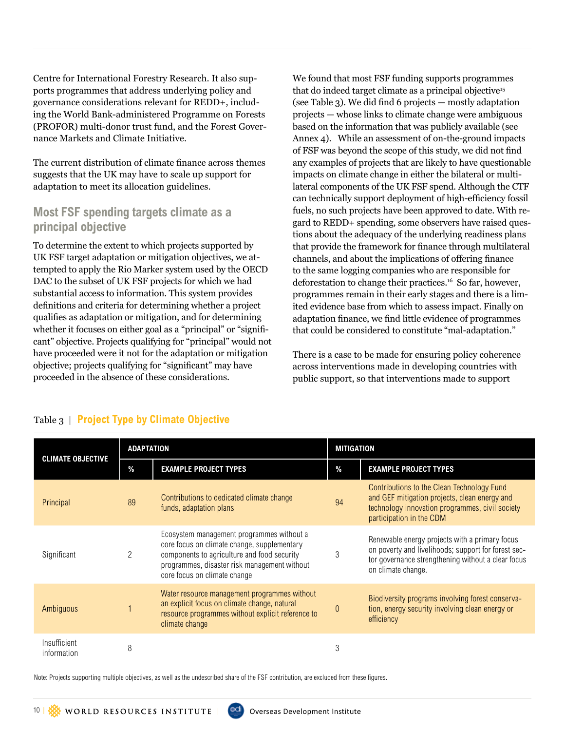Centre for International Forestry Research. It also supports programmes that address underlying policy and governance considerations relevant for REDD+, including the World Bank-administered Programme on Forests (PROFOR) multi-donor trust fund, and the Forest Governance Markets and Climate Initiative.

The current distribution of climate finance across themes suggests that the UK may have to scale up support for adaptation to meet its allocation guidelines.

#### **Most FSF spending targets climate as a principal objective**

To determine the extent to which projects supported by UK FSF target adaptation or mitigation objectives, we attempted to apply the Rio Marker system used by the OECD DAC to the subset of UK FSF projects for which we had substantial access to information. This system provides definitions and criteria for determining whether a project qualifies as adaptation or mitigation, and for determining whether it focuses on either goal as a "principal" or "significant" objective. Projects qualifying for "principal" would not have proceeded were it not for the adaptation or mitigation objective; projects qualifying for "significant" may have proceeded in the absence of these considerations.

We found that most FSF funding supports programmes that do indeed target climate as a principal objective<sup>15</sup> (see Table 3). We did find 6 projects — mostly adaptation projects — whose links to climate change were ambiguous based on the information that was publicly available (see Annex 4). While an assessment of on-the-ground impacts of FSF was beyond the scope of this study, we did not find any examples of projects that are likely to have questionable impacts on climate change in either the bilateral or multilateral components of the UK FSF spend. Although the CTF can technically support deployment of high-efficiency fossil fuels, no such projects have been approved to date. With regard to REDD+ spending, some observers have raised questions about the adequacy of the underlying readiness plans that provide the framework for finance through multilateral channels, and about the implications of offering finance to the same logging companies who are responsible for deforestation to change their practices.16 So far, however, programmes remain in their early stages and there is a limited evidence base from which to assess impact. Finally on adaptation finance, we find little evidence of programmes that could be considered to constitute "mal-adaptation."

There is a case to be made for ensuring policy coherence across interventions made in developing countries with public support, so that interventions made to support

| <b>CLIMATE OBJECTIVE</b>    | <b>ADAPTATION</b> |                                                                                                                                                                                                                         | <b>MITIGATION</b> |                                                                                                                                                                                   |
|-----------------------------|-------------------|-------------------------------------------------------------------------------------------------------------------------------------------------------------------------------------------------------------------------|-------------------|-----------------------------------------------------------------------------------------------------------------------------------------------------------------------------------|
|                             | $\%$              | <b>EXAMPLE PROJECT TYPES</b>                                                                                                                                                                                            | $\%$              | <b>EXAMPLE PROJECT TYPES</b>                                                                                                                                                      |
| Principal                   | 89                | Contributions to dedicated climate change<br>funds, adaptation plans                                                                                                                                                    |                   | Contributions to the Clean Technology Fund<br>and GEF mitigation projects, clean energy and<br>technology innovation programmes, civil society<br>participation in the CDM        |
| Significant                 | 2                 | Ecosystem management programmes without a<br>core focus on climate change, supplementary<br>components to agriculture and food security<br>programmes, disaster risk management without<br>core focus on climate change |                   | Renewable energy projects with a primary focus<br>on poverty and livelihoods; support for forest sec-<br>tor governance strengthening without a clear focus<br>on climate change. |
| Ambiguous                   |                   | Water resource management programmes without<br>an explicit focus on climate change, natural<br>resource programmes without explicit reference to<br>climate change                                                     |                   | Biodiversity programs involving forest conserva-<br>tion, energy security involving clean energy or<br>efficiency                                                                 |
| Insufficient<br>information | 8                 |                                                                                                                                                                                                                         | 3                 |                                                                                                                                                                                   |

#### Table 3 | **Project Type by Climate Objective**

Note: Projects supporting multiple objectives, as well as the undescribed share of the FSF contribution, are excluded from these figures.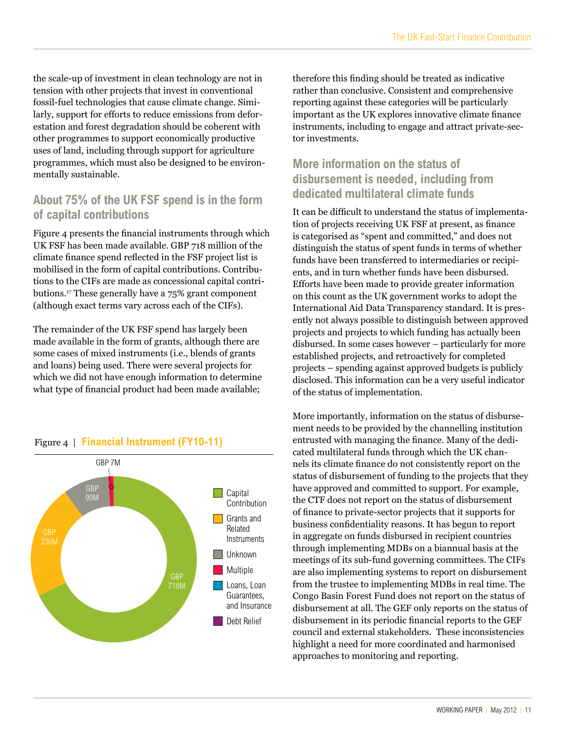the scale-up of investment in clean technology are not in tension with other projects that invest in conventional fossil-fuel technologies that cause climate change. Similarly, support for efforts to reduce emissions from deforestation and forest degradation should be coherent with other programmes to support economically productive uses of land, including through support for agriculture programmes, which must also be designed to be environmentally sustainable.

#### **About 75% of the UK FSF spend is in the form of capital contributions**

Figure 4 presents the financial instruments through which UK FSF has been made available. GBP 718 million of the climate finance spend reflected in the FSF project list is mobilised in the form of capital contributions. Contributions to the CIFs are made as concessional capital contributions.17 These generally have a 75% grant component (although exact terms vary across each of the CIFs).

The remainder of the UK FSF spend has largely been made available in the form of grants, although there are some cases of mixed instruments (i.e., blends of grants and loans) being used. There were several projects for which we did not have enough information to determine what type of financial product had been made available;



#### Figure 4 | **Financial Instrument (FY10-11)**

therefore this finding should be treated as indicative rather than conclusive. Consistent and comprehensive reporting against these categories will be particularly important as the UK explores innovative climate finance instruments, including to engage and attract private-sector investments.

#### **More information on the status of disbursement is needed, including from dedicated multilateral climate funds**

It can be difficult to understand the status of implementation of projects receiving UK FSF at present, as finance is categorised as "spent and committed," and does not distinguish the status of spent funds in terms of whether funds have been transferred to intermediaries or recipients, and in turn whether funds have been disbursed. Efforts have been made to provide greater information on this count as the UK government works to adopt the International Aid Data Transparency standard. It is presently not always possible to distinguish between approved projects and projects to which funding has actually been disbursed. In some cases however – particularly for more established projects, and retroactively for completed projects – spending against approved budgets is publicly disclosed. This information can be a very useful indicator of the status of implementation.

More importantly, information on the status of disbursement needs to be provided by the channelling institution entrusted with managing the finance. Many of the dedicated multilateral funds through which the UK channels its climate finance do not consistently report on the status of disbursement of funding to the projects that they have approved and committed to support. For example, the CTF does not report on the status of disbursement of finance to private-sector projects that it supports for business confidentiality reasons. It has begun to report in aggregate on funds disbursed in recipient countries through implementing MDBs on a biannual basis at the meetings of its sub-fund governing committees. The CIFs are also implementing systems to report on disbursement from the trustee to implementing MDBs in real time. The Congo Basin Forest Fund does not report on the status of disbursement at all. The GEF only reports on the status of disbursement in its periodic financial reports to the GEF council and external stakeholders. These inconsistencies highlight a need for more coordinated and harmonised approaches to monitoring and reporting.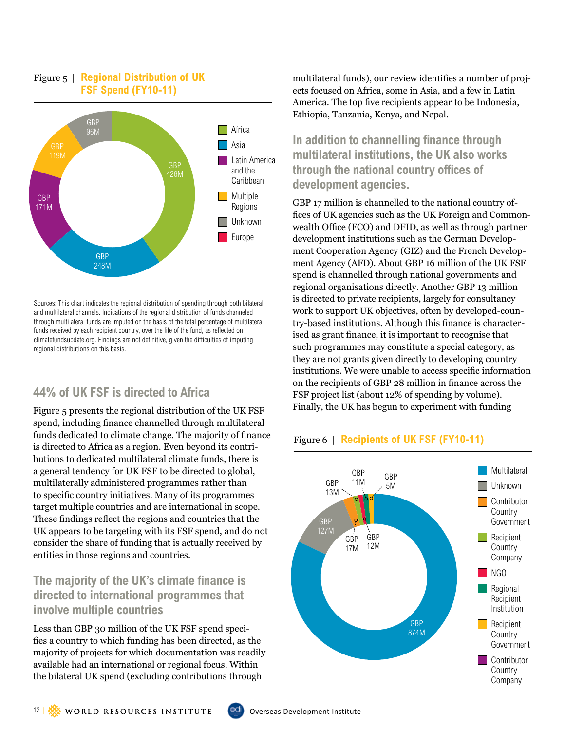#### Figure 5 | **Regional Distribution of UK FSF Spend (FY10-11)**



Sources: This chart indicates the regional distribution of spending through both bilateral and multilateral channels. Indications of the regional distribution of funds channeled through multilateral funds are imputed on the basis of the total percentage of multilateral funds received by each recipient country, over the life of the fund, as reflected on climatefundsupdate.org. Findings are not definitive, given the difficulties of imputing regional distributions on this basis.

#### **44% of UK FSF is directed to Africa**

Figure 5 presents the regional distribution of the UK FSF spend, including finance channelled through multilateral funds dedicated to climate change. The majority of finance is directed to Africa as a region. Even beyond its contributions to dedicated multilateral climate funds, there is a general tendency for UK FSF to be directed to global, multilaterally administered programmes rather than to specific country initiatives. Many of its programmes target multiple countries and are international in scope. These findings reflect the regions and countries that the UK appears to be targeting with its FSF spend, and do not consider the share of funding that is actually received by entities in those regions and countries.

#### **The majority of the UK's climate finance is directed to international programmes that involve multiple countries**

Less than GBP 30 million of the UK FSF spend specifies a country to which funding has been directed, as the majority of projects for which documentation was readily available had an international or regional focus. Within the bilateral UK spend (excluding contributions through

multilateral funds), our review identifies a number of projects focused on Africa, some in Asia, and a few in Latin America. The top five recipients appear to be Indonesia, Ethiopia, Tanzania, Kenya, and Nepal.

**In addition to channelling finance through multilateral institutions, the UK also works through the national country offices of development agencies.** 

GBP 17 million is channelled to the national country offices of UK agencies such as the UK Foreign and Commonwealth Office (FCO) and DFID, as well as through partner development institutions such as the German Development Cooperation Agency (GIZ) and the French Development Agency (AFD). About GBP 16 million of the UK FSF spend is channelled through national governments and regional organisations directly. Another GBP 13 million is directed to private recipients, largely for consultancy work to support UK objectives, often by developed-country-based institutions. Although this finance is characterised as grant finance, it is important to recognise that such programmes may constitute a special category, as they are not grants given directly to developing country institutions. We were unable to access specific information on the recipients of GBP 28 million in finance across the FSF project list (about 12% of spending by volume). Finally, the UK has begun to experiment with funding



#### Figure 6 | **Recipients of UK FSF (FY10-11)**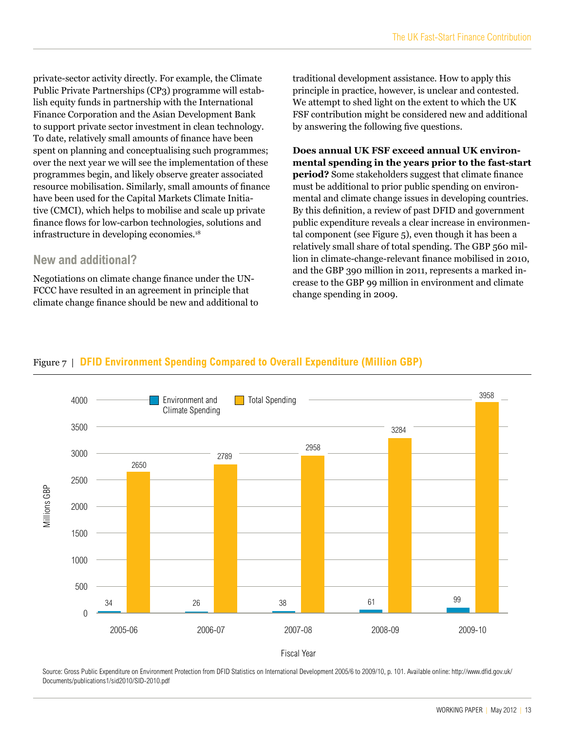private-sector activity directly. For example, the Climate Public Private Partnerships (CP3) programme will establish equity funds in partnership with the International Finance Corporation and the Asian Development Bank to support private sector investment in clean technology. To date, relatively small amounts of finance have been spent on planning and conceptualising such programmes; over the next year we will see the implementation of these programmes begin, and likely observe greater associated resource mobilisation. Similarly, small amounts of finance have been used for the Capital Markets Climate Initiative (CMCI), which helps to mobilise and scale up private finance flows for low-carbon technologies, solutions and infrastructure in developing economies.<sup>18</sup>

#### **New and additional?**

Negotiations on climate change finance under the UN-FCCC have resulted in an agreement in principle that climate change finance should be new and additional to traditional development assistance. How to apply this principle in practice, however, is unclear and contested. We attempt to shed light on the extent to which the UK FSF contribution might be considered new and additional by answering the following five questions.

**Does annual UK FSF exceed annual UK environmental spending in the years prior to the fast-start period?** Some stakeholders suggest that climate finance must be additional to prior public spending on environmental and climate change issues in developing countries. By this definition, a review of past DFID and government public expenditure reveals a clear increase in environmental component (see Figure 5), even though it has been a relatively small share of total spending. The GBP 560 million in climate-change-relevant finance mobilised in 2010, and the GBP 390 million in 2011, represents a marked increase to the GBP 99 million in environment and climate change spending in 2009.





Source: Gross Public Expenditure on Environment Protection from DFID Statistics on International Development 2005/6 to 2009/10, p. 101. Available online: http://www.dfid.gov.uk/ Documents/publications1/sid2010/SID-2010.pdf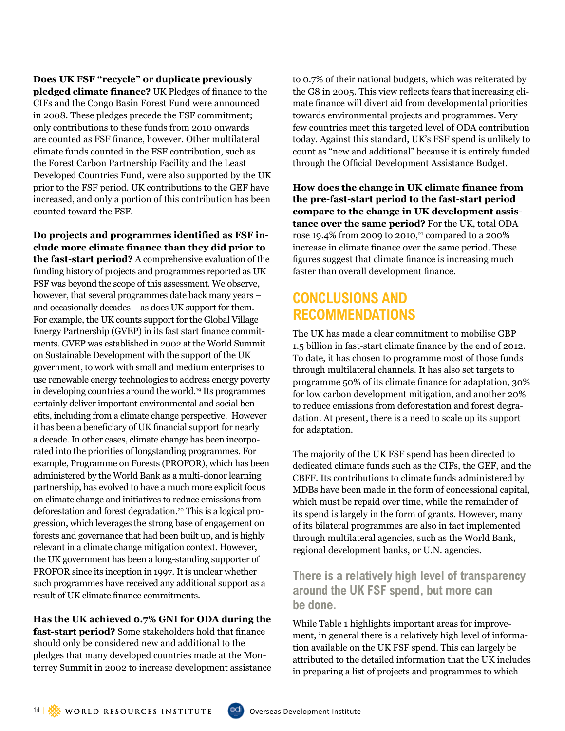**Does UK FSF "recycle" or duplicate previously pledged climate finance?** UK Pledges of finance to the CIFs and the Congo Basin Forest Fund were announced in 2008. These pledges precede the FSF commitment; only contributions to these funds from 2010 onwards are counted as FSF finance, however. Other multilateral climate funds counted in the FSF contribution, such as the Forest Carbon Partnership Facility and the Least Developed Countries Fund, were also supported by the UK prior to the FSF period. UK contributions to the GEF have increased, and only a portion of this contribution has been counted toward the FSF.

**Do projects and programmes identified as FSF include more climate finance than they did prior to the fast-start period?** A comprehensive evaluation of the funding history of projects and programmes reported as UK FSF was beyond the scope of this assessment. We observe, however, that several programmes date back many years – and occasionally decades – as does UK support for them. For example, the UK counts support for the Global Village Energy Partnership (GVEP) in its fast start finance commitments. GVEP was established in 2002 at the World Summit on Sustainable Development with the support of the UK government, to work with small and medium enterprises to use renewable energy technologies to address energy poverty in developing countries around the world.19 Its programmes certainly deliver important environmental and social benefits, including from a climate change perspective. However it has been a beneficiary of UK financial support for nearly a decade. In other cases, climate change has been incorporated into the priorities of longstanding programmes. For example, Programme on Forests (PROFOR), which has been administered by the World Bank as a multi-donor learning partnership, has evolved to have a much more explicit focus on climate change and initiatives to reduce emissions from deforestation and forest degradation.20 This is a logical progression, which leverages the strong base of engagement on forests and governance that had been built up, and is highly relevant in a climate change mitigation context. However, the UK government has been a long-standing supporter of PROFOR since its inception in 1997. It is unclear whether such programmes have received any additional support as a result of UK climate finance commitments.

**Has the UK achieved 0.7% GNI for ODA during the fast-start period?** Some stakeholders hold that finance should only be considered new and additional to the pledges that many developed countries made at the Monterrey Summit in 2002 to increase development assistance to 0.7% of their national budgets, which was reiterated by the G8 in 2005. This view reflects fears that increasing climate finance will divert aid from developmental priorities towards environmental projects and programmes. Very few countries meet this targeted level of ODA contribution today. Against this standard, UK's FSF spend is unlikely to count as "new and additional" because it is entirely funded through the Official Development Assistance Budget.

**How does the change in UK climate finance from the pre-fast-start period to the fast-start period compare to the change in UK development assistance over the same period?** For the UK, total ODA rose 19.4% from 2009 to 2010,<sup>21</sup> compared to a 200% increase in climate finance over the same period. These figures suggest that climate finance is increasing much faster than overall development finance.

# **Conclusions and Recommendations**

The UK has made a clear commitment to mobilise GBP 1.5 billion in fast-start climate finance by the end of 2012. To date, it has chosen to programme most of those funds through multilateral channels. It has also set targets to programme 50% of its climate finance for adaptation, 30% for low carbon development mitigation, and another 20% to reduce emissions from deforestation and forest degradation. At present, there is a need to scale up its support for adaptation.

The majority of the UK FSF spend has been directed to dedicated climate funds such as the CIFs, the GEF, and the CBFF. Its contributions to climate funds administered by MDBs have been made in the form of concessional capital, which must be repaid over time, while the remainder of its spend is largely in the form of grants. However, many of its bilateral programmes are also in fact implemented through multilateral agencies, such as the World Bank, regional development banks, or U.N. agencies.

#### **There is a relatively high level of transparency around the UK FSF spend, but more can be done.**

While Table 1 highlights important areas for improvement, in general there is a relatively high level of information available on the UK FSF spend. This can largely be attributed to the detailed information that the UK includes in preparing a list of projects and programmes to which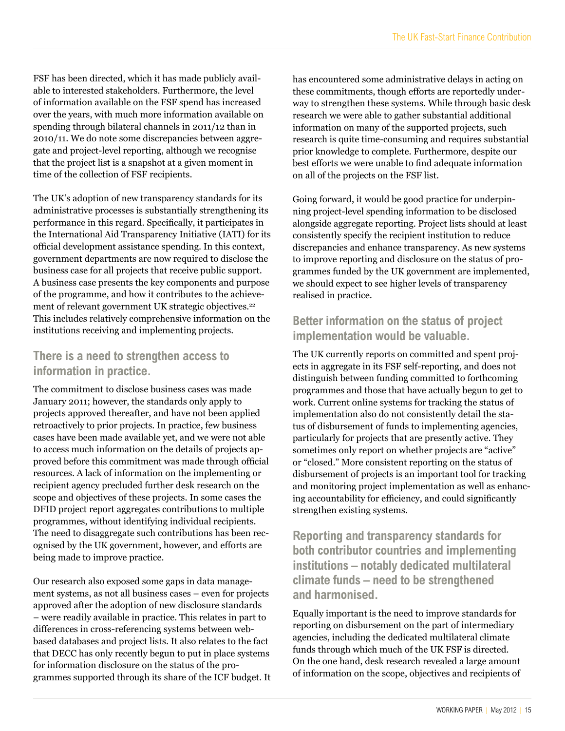FSF has been directed, which it has made publicly available to interested stakeholders. Furthermore, the level of information available on the FSF spend has increased over the years, with much more information available on spending through bilateral channels in 2011/12 than in 2010/11. We do note some discrepancies between aggregate and project-level reporting, although we recognise that the project list is a snapshot at a given moment in time of the collection of FSF recipients.

The UK's adoption of new transparency standards for its administrative processes is substantially strengthening its performance in this regard. Specifically, it participates in the International Aid Transparency Initiative (IATI) for its official development assistance spending. In this context, government departments are now required to disclose the business case for all projects that receive public support. A business case presents the key components and purpose of the programme, and how it contributes to the achievement of relevant government UK strategic objectives.<sup>22</sup> This includes relatively comprehensive information on the institutions receiving and implementing projects.

#### **There is a need to strengthen access to information in practice.**

The commitment to disclose business cases was made January 2011; however, the standards only apply to projects approved thereafter, and have not been applied retroactively to prior projects. In practice, few business cases have been made available yet, and we were not able to access much information on the details of projects approved before this commitment was made through official resources. A lack of information on the implementing or recipient agency precluded further desk research on the scope and objectives of these projects. In some cases the DFID project report aggregates contributions to multiple programmes, without identifying individual recipients. The need to disaggregate such contributions has been recognised by the UK government, however, and efforts are being made to improve practice.

Our research also exposed some gaps in data management systems, as not all business cases – even for projects approved after the adoption of new disclosure standards – were readily available in practice. This relates in part to differences in cross-referencing systems between webbased databases and project lists. It also relates to the fact that DECC has only recently begun to put in place systems for information disclosure on the status of the programmes supported through its share of the ICF budget. It has encountered some administrative delays in acting on these commitments, though efforts are reportedly underway to strengthen these systems. While through basic desk research we were able to gather substantial additional information on many of the supported projects, such research is quite time-consuming and requires substantial prior knowledge to complete. Furthermore, despite our best efforts we were unable to find adequate information on all of the projects on the FSF list.

Going forward, it would be good practice for underpinning project-level spending information to be disclosed alongside aggregate reporting. Project lists should at least consistently specify the recipient institution to reduce discrepancies and enhance transparency. As new systems to improve reporting and disclosure on the status of programmes funded by the UK government are implemented, we should expect to see higher levels of transparency realised in practice.

#### **Better information on the status of project implementation would be valuable.**

The UK currently reports on committed and spent projects in aggregate in its FSF self-reporting, and does not distinguish between funding committed to forthcoming programmes and those that have actually begun to get to work. Current online systems for tracking the status of implementation also do not consistently detail the status of disbursement of funds to implementing agencies, particularly for projects that are presently active. They sometimes only report on whether projects are "active" or "closed." More consistent reporting on the status of disbursement of projects is an important tool for tracking and monitoring project implementation as well as enhancing accountability for efficiency, and could significantly strengthen existing systems.

**Reporting and transparency standards for both contributor countries and implementing institutions – notably dedicated multilateral climate funds – need to be strengthened and harmonised.**

Equally important is the need to improve standards for reporting on disbursement on the part of intermediary agencies, including the dedicated multilateral climate funds through which much of the UK FSF is directed. On the one hand, desk research revealed a large amount of information on the scope, objectives and recipients of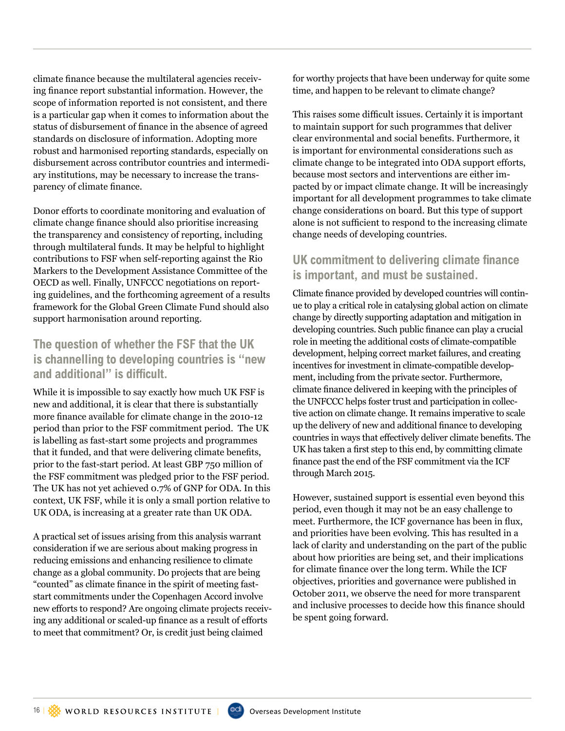climate finance because the multilateral agencies receiving finance report substantial information. However, the scope of information reported is not consistent, and there is a particular gap when it comes to information about the status of disbursement of finance in the absence of agreed standards on disclosure of information. Adopting more robust and harmonised reporting standards, especially on disbursement across contributor countries and intermediary institutions, may be necessary to increase the transparency of climate finance.

Donor efforts to coordinate monitoring and evaluation of climate change finance should also prioritise increasing the transparency and consistency of reporting, including through multilateral funds. It may be helpful to highlight contributions to FSF when self-reporting against the Rio Markers to the Development Assistance Committee of the OECD as well. Finally, UNFCCC negotiations on reporting guidelines, and the forthcoming agreement of a results framework for the Global Green Climate Fund should also support harmonisation around reporting.

#### **The question of whether the FSF that the UK is channelling to developing countries is "new and additional" is difficult.**

While it is impossible to say exactly how much UK FSF is new and additional, it is clear that there is substantially more finance available for climate change in the 2010-12 period than prior to the FSF commitment period. The UK is labelling as fast-start some projects and programmes that it funded, and that were delivering climate benefits, prior to the fast-start period. At least GBP 750 million of the FSF commitment was pledged prior to the FSF period. The UK has not yet achieved 0.7% of GNP for ODA. In this context, UK FSF, while it is only a small portion relative to UK ODA, is increasing at a greater rate than UK ODA.

A practical set of issues arising from this analysis warrant consideration if we are serious about making progress in reducing emissions and enhancing resilience to climate change as a global community. Do projects that are being "counted" as climate finance in the spirit of meeting faststart commitments under the Copenhagen Accord involve new efforts to respond? Are ongoing climate projects receiving any additional or scaled-up finance as a result of efforts to meet that commitment? Or, is credit just being claimed

for worthy projects that have been underway for quite some time, and happen to be relevant to climate change?

This raises some difficult issues. Certainly it is important to maintain support for such programmes that deliver clear environmental and social benefits. Furthermore, it is important for environmental considerations such as climate change to be integrated into ODA support efforts, because most sectors and interventions are either impacted by or impact climate change. It will be increasingly important for all development programmes to take climate change considerations on board. But this type of support alone is not sufficient to respond to the increasing climate change needs of developing countries.

#### **UK commitment to delivering climate finance is important, and must be sustained.**

Climate finance provided by developed countries will continue to play a critical role in catalysing global action on climate change by directly supporting adaptation and mitigation in developing countries. Such public finance can play a crucial role in meeting the additional costs of climate-compatible development, helping correct market failures, and creating incentives for investment in climate-compatible development, including from the private sector. Furthermore, climate finance delivered in keeping with the principles of the UNFCCC helps foster trust and participation in collective action on climate change. It remains imperative to scale up the delivery of new and additional finance to developing countries in ways that effectively deliver climate benefits. The UK has taken a first step to this end, by committing climate finance past the end of the FSF commitment via the ICF through March 2015.

However, sustained support is essential even beyond this period, even though it may not be an easy challenge to meet. Furthermore, the ICF governance has been in flux, and priorities have been evolving. This has resulted in a lack of clarity and understanding on the part of the public about how priorities are being set, and their implications for climate finance over the long term. While the ICF objectives, priorities and governance were published in October 2011, we observe the need for more transparent and inclusive processes to decide how this finance should be spent going forward.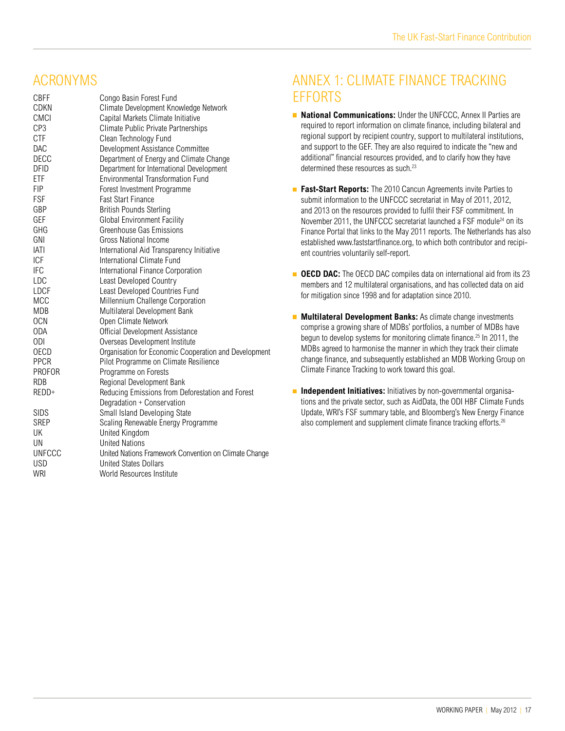# **ACRONYMS**

| <b>CBFF</b>     | Congo Basin Forest Fund                               |
|-----------------|-------------------------------------------------------|
| <b>CDKN</b>     | Climate Development Knowledge Network                 |
| <b>CMCI</b>     | Capital Markets Climate Initiative                    |
| CP <sub>3</sub> | Climate Public Private Partnerships                   |
| <b>CTF</b>      | Clean Technology Fund                                 |
| DAC             | Development Assistance Committee                      |
| <b>DECC</b>     | Department of Energy and Climate Change               |
| <b>DFID</b>     | Department for International Development              |
| ETF             | <b>Environmental Transformation Fund</b>              |
| <b>FIP</b>      | Forest Investment Programme                           |
| <b>FSF</b>      | <b>Fast Start Finance</b>                             |
| GBP             | <b>British Pounds Sterling</b>                        |
| GEF             | <b>Global Environment Facility</b>                    |
| GHG             | Greenhouse Gas Emissions                              |
| GNI             | Gross National Income                                 |
| <b>IATI</b>     | International Aid Transparency Initiative             |
| ICF             | International Climate Fund                            |
| <b>IFC</b>      | International Finance Corporation                     |
| LDC             | Least Developed Country                               |
| LDCF            | Least Developed Countries Fund                        |
| MCC             | Millennium Challenge Corporation                      |
| <b>MDB</b>      | Multilateral Development Bank                         |
| <b>OCN</b>      | Open Climate Network                                  |
| <b>ODA</b>      | Official Development Assistance                       |
| 0DI             | Overseas Development Institute                        |
| <b>OECD</b>     | Organisation for Economic Cooperation and Development |
| <b>PPCR</b>     | Pilot Programme on Climate Resilience                 |
| <b>PROFOR</b>   | Programme on Forests                                  |
| <b>RDB</b>      | Regional Development Bank                             |
| REDD+           | Reducing Emissions from Deforestation and Forest      |
|                 | Degradation + Conservation                            |
| <b>SIDS</b>     | Small Island Developing State                         |
| <b>SREP</b>     | Scaling Renewable Energy Programme                    |
| UK              | United Kingdom                                        |
| UN              | <b>United Nations</b>                                 |
| <b>UNFCCC</b>   | United Nations Framework Convention on Climate Change |
| <b>USD</b>      | <b>United States Dollars</b>                          |
| <b>WRI</b>      | World Resources Institute                             |
|                 |                                                       |

# Annex 1: Climate Finance Tracking **FFFORTS**

- **National Communications:** Under the UNFCCC, Annex II Parties are required to report information on climate finance, including bilateral and regional support by recipient country, support to multilateral institutions, and support to the GEF. They are also required to indicate the "new and additional" financial resources provided, and to clarify how they have determined these resources as such.<sup>23</sup>
- **Fast-Start Reports:** The 2010 Cancun Agreements invite Parties to submit information to the UNFCCC secretariat in May of 2011, 2012, and 2013 on the resources provided to fulfil their FSF commitment. In November 2011, the UNFCCC secretariat launched a FSF module<sup>24</sup> on its Finance Portal that links to the May 2011 reports. The Netherlands has also established www.faststartfinance.org, to which both contributor and recipient countries voluntarily self-report.
- **OECD DAC:** The OECD DAC compiles data on international aid from its 23 members and 12 multilateral organisations, and has collected data on aid for mitigation since 1998 and for adaptation since 2010.
- **Multilateral Development Banks:** As climate change investments comprise a growing share of MDBs' portfolios, a number of MDBs have begun to develop systems for monitoring climate finance.<sup>25</sup> In 2011, the MDBs agreed to harmonise the manner in which they track their climate change finance, and subsequently established an MDB Working Group on Climate Finance Tracking to work toward this goal.
- **Independent Initiatives:** Initiatives by non-governmental organisa-Ē. tions and the private sector, such as AidData, the ODI HBF Climate Funds Update, WRI's FSF summary table, and Bloomberg's New Energy Finance also complement and supplement climate finance tracking efforts.<sup>26</sup>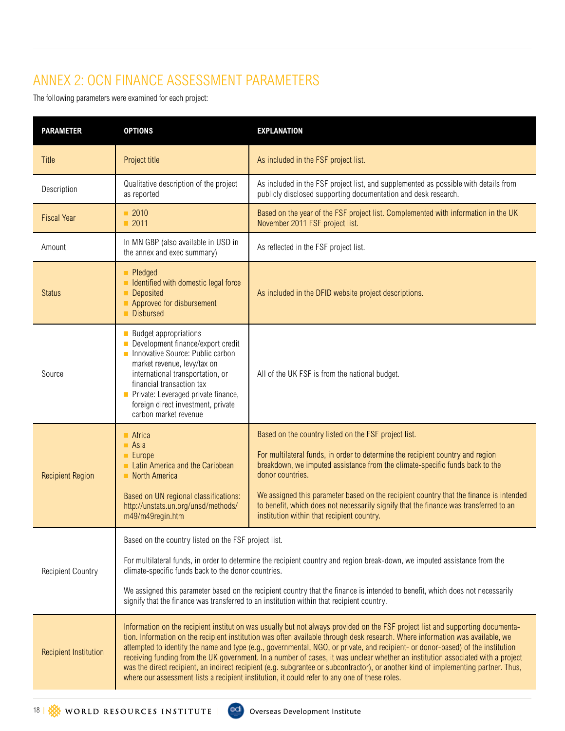# Annex 2: OCN Finance Assessment Parameters

The following parameters were examined for each project:

| <b>PARAMETER</b>             | <b>OPTIONS</b>                                                                                                                                                                                                                                                                                                                                                                                                                                                                                                                                                                                                                                                                                                                                                               | <b>EXPLANATION</b>                                                                                                                                                                                                                                                                                                                                                                                                                                                          |  |
|------------------------------|------------------------------------------------------------------------------------------------------------------------------------------------------------------------------------------------------------------------------------------------------------------------------------------------------------------------------------------------------------------------------------------------------------------------------------------------------------------------------------------------------------------------------------------------------------------------------------------------------------------------------------------------------------------------------------------------------------------------------------------------------------------------------|-----------------------------------------------------------------------------------------------------------------------------------------------------------------------------------------------------------------------------------------------------------------------------------------------------------------------------------------------------------------------------------------------------------------------------------------------------------------------------|--|
| Title                        | Project title                                                                                                                                                                                                                                                                                                                                                                                                                                                                                                                                                                                                                                                                                                                                                                | As included in the FSF project list.                                                                                                                                                                                                                                                                                                                                                                                                                                        |  |
| Description                  | Qualitative description of the project<br>as reported                                                                                                                                                                                                                                                                                                                                                                                                                                                                                                                                                                                                                                                                                                                        | As included in the FSF project list, and supplemented as possible with details from<br>publicly disclosed supporting documentation and desk research.                                                                                                                                                                                                                                                                                                                       |  |
| <b>Fiscal Year</b>           | ■ 2010<br>$\blacksquare$ 2011                                                                                                                                                                                                                                                                                                                                                                                                                                                                                                                                                                                                                                                                                                                                                | Based on the year of the FSF project list. Complemented with information in the UK<br>November 2011 FSF project list.                                                                                                                                                                                                                                                                                                                                                       |  |
| Amount                       | In MN GBP (also available in USD in<br>the annex and exec summary)                                                                                                                                                                                                                                                                                                                                                                                                                                                                                                                                                                                                                                                                                                           | As reflected in the FSF project list.                                                                                                                                                                                                                                                                                                                                                                                                                                       |  |
| <b>Status</b>                | Pledged<br>In Identified with domestic legal force<br><b>Deposited</b><br>Approved for disbursement<br><b>Disbursed</b>                                                                                                                                                                                                                                                                                                                                                                                                                                                                                                                                                                                                                                                      | As included in the DFID website project descriptions.                                                                                                                                                                                                                                                                                                                                                                                                                       |  |
| Source                       | <b>Budget appropriations</b><br>Development finance/export credit<br>Innovative Source: Public carbon<br>market revenue, levy/tax on<br>international transportation, or<br>financial transaction tax<br>Private: Leveraged private finance,<br>foreign direct investment, private<br>carbon market revenue                                                                                                                                                                                                                                                                                                                                                                                                                                                                  | All of the UK FSF is from the national budget.                                                                                                                                                                                                                                                                                                                                                                                                                              |  |
| <b>Recipient Region</b>      | $\blacksquare$ Africa<br>$\blacksquare$ Asia<br>$\blacksquare$ Europe<br>Latin America and the Caribbean<br>North America<br>Based on UN regional classifications:<br>http://unstats.un.org/unsd/methods/<br>m49/m49regin.htm                                                                                                                                                                                                                                                                                                                                                                                                                                                                                                                                                | Based on the country listed on the FSF project list.<br>For multilateral funds, in order to determine the recipient country and region<br>breakdown, we imputed assistance from the climate-specific funds back to the<br>donor countries.<br>We assigned this parameter based on the recipient country that the finance is intended<br>to benefit, which does not necessarily signify that the finance was transferred to an<br>institution within that recipient country. |  |
| <b>Recipient Country</b>     | Based on the country listed on the FSF project list.<br>For multilateral funds, in order to determine the recipient country and region break-down, we imputed assistance from the<br>climate-specific funds back to the donor countries.<br>We assigned this parameter based on the recipient country that the finance is intended to benefit, which does not necessarily<br>signify that the finance was transferred to an institution within that recipient country.                                                                                                                                                                                                                                                                                                       |                                                                                                                                                                                                                                                                                                                                                                                                                                                                             |  |
| <b>Recipient Institution</b> | Information on the recipient institution was usually but not always provided on the FSF project list and supporting documenta-<br>tion. Information on the recipient institution was often available through desk research. Where information was available, we<br>attempted to identify the name and type (e.g., governmental, NGO, or private, and recipient- or donor-based) of the institution<br>receiving funding from the UK government. In a number of cases, it was unclear whether an institution associated with a project<br>was the direct recipient, an indirect recipient (e.g. subgrantee or subcontractor), or another kind of implementing partner. Thus,<br>where our assessment lists a recipient institution, it could refer to any one of these roles. |                                                                                                                                                                                                                                                                                                                                                                                                                                                                             |  |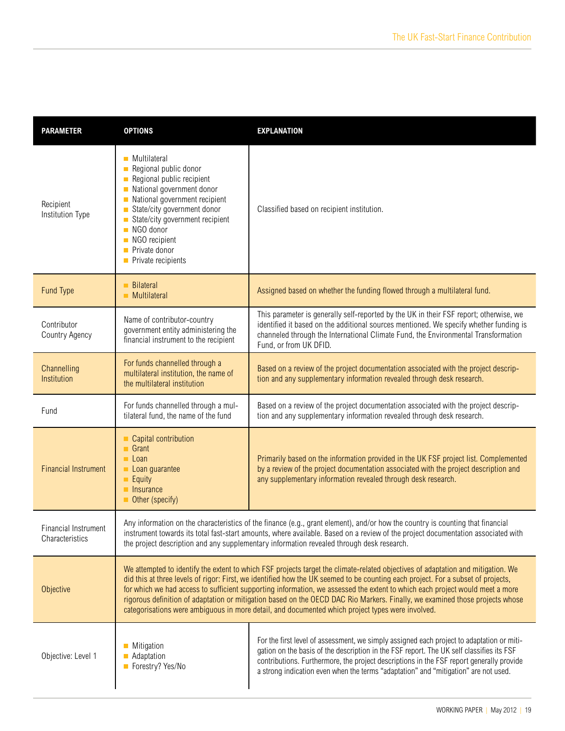| <b>PARAMETER</b>                               | <b>OPTIONS</b>                                                                                                                                                                                                                                                                                                                                                                                                                                                                                                                                                                                                                           | <b>EXPLANATION</b>                                                                                                                                                                                                                                                                                                                                                       |  |
|------------------------------------------------|------------------------------------------------------------------------------------------------------------------------------------------------------------------------------------------------------------------------------------------------------------------------------------------------------------------------------------------------------------------------------------------------------------------------------------------------------------------------------------------------------------------------------------------------------------------------------------------------------------------------------------------|--------------------------------------------------------------------------------------------------------------------------------------------------------------------------------------------------------------------------------------------------------------------------------------------------------------------------------------------------------------------------|--|
| Recipient<br>Institution Type                  | Multilateral<br>П<br>Regional public donor<br>Regional public recipient<br>National government donor<br>П<br>National government recipient<br>State/city government donor<br>П<br>State/city government recipient<br>NGO donor<br>NGO recipient<br>Private donor<br>П<br>Private recipients<br>П                                                                                                                                                                                                                                                                                                                                         | Classified based on recipient institution.                                                                                                                                                                                                                                                                                                                               |  |
| Fund Type                                      | <b>Bilateral</b><br>Multilateral                                                                                                                                                                                                                                                                                                                                                                                                                                                                                                                                                                                                         | Assigned based on whether the funding flowed through a multilateral fund.                                                                                                                                                                                                                                                                                                |  |
| Contributor<br>Country Agency                  | Name of contributor-country<br>government entity administering the<br>financial instrument to the recipient                                                                                                                                                                                                                                                                                                                                                                                                                                                                                                                              | This parameter is generally self-reported by the UK in their FSF report; otherwise, we<br>identified it based on the additional sources mentioned. We specify whether funding is<br>channeled through the International Climate Fund, the Environmental Transformation<br>Fund, or from UK DFID.                                                                         |  |
| Channelling<br>Institution                     | For funds channelled through a<br>multilateral institution, the name of<br>the multilateral institution                                                                                                                                                                                                                                                                                                                                                                                                                                                                                                                                  | Based on a review of the project documentation associated with the project descrip-<br>tion and any supplementary information revealed through desk research.                                                                                                                                                                                                            |  |
| Fund                                           | For funds channelled through a mul-<br>tilateral fund, the name of the fund                                                                                                                                                                                                                                                                                                                                                                                                                                                                                                                                                              | Based on a review of the project documentation associated with the project descrip-<br>tion and any supplementary information revealed through desk research.                                                                                                                                                                                                            |  |
| <b>Financial Instrument</b>                    | Capital contribution<br>$\blacksquare$ Grant<br>$\blacksquare$ Loan<br>Loan guarantee<br>Equity<br>Insurance<br>Other (specify)                                                                                                                                                                                                                                                                                                                                                                                                                                                                                                          | Primarily based on the information provided in the UK FSF project list. Complemented<br>by a review of the project documentation associated with the project description and<br>any supplementary information revealed through desk research.                                                                                                                            |  |
| <b>Financial Instrument</b><br>Characteristics | Any information on the characteristics of the finance (e.g., grant element), and/or how the country is counting that financial<br>instrument towards its total fast-start amounts, where available. Based on a review of the project documentation associated with<br>the project description and any supplementary information revealed through desk research.                                                                                                                                                                                                                                                                          |                                                                                                                                                                                                                                                                                                                                                                          |  |
| Objective                                      | We attempted to identify the extent to which FSF projects target the climate-related objectives of adaptation and mitigation. We<br>did this at three levels of rigor: First, we identified how the UK seemed to be counting each project. For a subset of projects,<br>for which we had access to sufficient supporting information, we assessed the extent to which each project would meet a more<br>rigorous definition of adaptation or mitigation based on the OECD DAC Rio Markers. Finally, we examined those projects whose<br>categorisations were ambiguous in more detail, and documented which project types were involved. |                                                                                                                                                                                                                                                                                                                                                                          |  |
| Objective: Level 1                             | Mitigation<br>Adaptation<br>Forestry? Yes/No                                                                                                                                                                                                                                                                                                                                                                                                                                                                                                                                                                                             | For the first level of assessment, we simply assigned each project to adaptation or miti-<br>gation on the basis of the description in the FSF report. The UK self classifies its FSF<br>contributions. Furthermore, the project descriptions in the FSF report generally provide<br>a strong indication even when the terms "adaptation" and "mitigation" are not used. |  |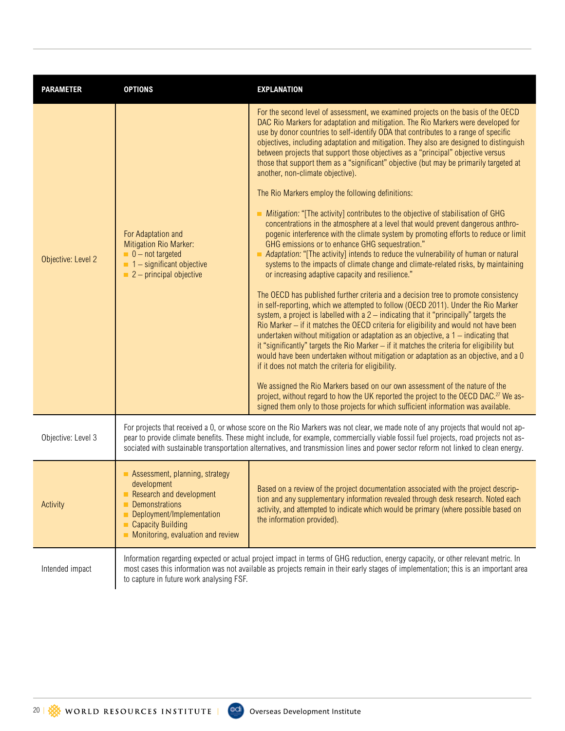| <b>PARAMETER</b>   | <b>OPTIONS</b>                                                                                                                                                                                                                                                                                                                                                                                               | <b>EXPLANATION</b>                                                                                                                                                                                                                                                                                                                                                                                                                                                                                                                                                                                                                                                                                                                                                                                                                                                                                                                                                                                                                                                                                                                                                                                                                                                                                                                                                                                                                                                                                                                                                                                                                                                                                                                                                                                                                                                                                                                                                                                                                                                                                                                                           |
|--------------------|--------------------------------------------------------------------------------------------------------------------------------------------------------------------------------------------------------------------------------------------------------------------------------------------------------------------------------------------------------------------------------------------------------------|--------------------------------------------------------------------------------------------------------------------------------------------------------------------------------------------------------------------------------------------------------------------------------------------------------------------------------------------------------------------------------------------------------------------------------------------------------------------------------------------------------------------------------------------------------------------------------------------------------------------------------------------------------------------------------------------------------------------------------------------------------------------------------------------------------------------------------------------------------------------------------------------------------------------------------------------------------------------------------------------------------------------------------------------------------------------------------------------------------------------------------------------------------------------------------------------------------------------------------------------------------------------------------------------------------------------------------------------------------------------------------------------------------------------------------------------------------------------------------------------------------------------------------------------------------------------------------------------------------------------------------------------------------------------------------------------------------------------------------------------------------------------------------------------------------------------------------------------------------------------------------------------------------------------------------------------------------------------------------------------------------------------------------------------------------------------------------------------------------------------------------------------------------------|
| Objective: Level 2 | For Adaptation and<br>Mitigation Rio Marker:<br>$\blacksquare$ 0 – not targeted<br>$\blacksquare$ 1 – significant objective<br>$\blacksquare$ 2 – principal objective                                                                                                                                                                                                                                        | For the second level of assessment, we examined projects on the basis of the OECD<br>DAC Rio Markers for adaptation and mitigation. The Rio Markers were developed for<br>use by donor countries to self-identify ODA that contributes to a range of specific<br>objectives, including adaptation and mitigation. They also are designed to distinguish<br>between projects that support those objectives as a "principal" objective versus<br>those that support them as a "significant" objective (but may be primarily targeted at<br>another, non-climate objective).<br>The Rio Markers employ the following definitions:<br>Mitigation: "[The activity] contributes to the objective of stabilisation of GHG<br>concentrations in the atmosphere at a level that would prevent dangerous anthro-<br>pogenic interference with the climate system by promoting efforts to reduce or limit<br>GHG emissions or to enhance GHG sequestration."<br>Adaptation: "[The activity] intends to reduce the vulnerability of human or natural<br>systems to the impacts of climate change and climate-related risks, by maintaining<br>or increasing adaptive capacity and resilience."<br>The OECD has published further criteria and a decision tree to promote consistency<br>in self-reporting, which we attempted to follow (OECD 2011). Under the Rio Marker<br>system, a project is labelled with a 2 - indicating that it "principally" targets the<br>Rio Marker - if it matches the OECD criteria for eligibility and would not have been<br>undertaken without mitigation or adaptation as an objective, $a 1 -$ indicating that<br>it "significantly" targets the Rio Marker - if it matches the criteria for eligibility but<br>would have been undertaken without mitigation or adaptation as an objective, and a 0<br>if it does not match the criteria for eligibility.<br>We assigned the Rio Markers based on our own assessment of the nature of the<br>project, without regard to how the UK reported the project to the OECD DAC. <sup>27</sup> We as-<br>signed them only to those projects for which sufficient information was available. |
| Objective: Level 3 | For projects that received a 0, or whose score on the Rio Markers was not clear, we made note of any projects that would not ap-<br>pear to provide climate benefits. These might include, for example, commercially viable fossil fuel projects, road projects not as-<br>sociated with sustainable transportation alternatives, and transmission lines and power sector reform not linked to clean energy. |                                                                                                                                                                                                                                                                                                                                                                                                                                                                                                                                                                                                                                                                                                                                                                                                                                                                                                                                                                                                                                                                                                                                                                                                                                                                                                                                                                                                                                                                                                                                                                                                                                                                                                                                                                                                                                                                                                                                                                                                                                                                                                                                                              |
| Activity           | Assessment, planning, strategy<br>development<br>Research and development<br>Demonstrations<br>Deployment/Implementation<br><b>Capacity Building</b><br>Monitoring, evaluation and review                                                                                                                                                                                                                    | Based on a review of the project documentation associated with the project descrip-<br>tion and any supplementary information revealed through desk research. Noted each<br>activity, and attempted to indicate which would be primary (where possible based on<br>the information provided).                                                                                                                                                                                                                                                                                                                                                                                                                                                                                                                                                                                                                                                                                                                                                                                                                                                                                                                                                                                                                                                                                                                                                                                                                                                                                                                                                                                                                                                                                                                                                                                                                                                                                                                                                                                                                                                                |
| Intended impact    | Information regarding expected or actual project impact in terms of GHG reduction, energy capacity, or other relevant metric. In<br>most cases this information was not available as projects remain in their early stages of implementation; this is an important area<br>to capture in future work analysing FSF.                                                                                          |                                                                                                                                                                                                                                                                                                                                                                                                                                                                                                                                                                                                                                                                                                                                                                                                                                                                                                                                                                                                                                                                                                                                                                                                                                                                                                                                                                                                                                                                                                                                                                                                                                                                                                                                                                                                                                                                                                                                                                                                                                                                                                                                                              |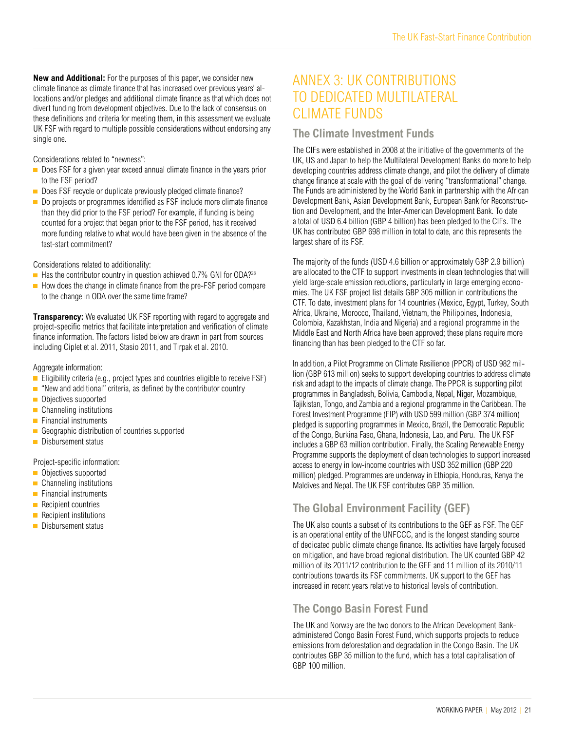**New and Additional:** For the purposes of this paper, we consider new climate finance as climate finance that has increased over previous years' allocations and/or pledges and additional climate finance as that which does not divert funding from development objectives. Due to the lack of consensus on these definitions and criteria for meeting them, in this assessment we evaluate UK FSF with regard to multiple possible considerations without endorsing any single one.

Considerations related to "newness":

- Does FSF for a given year exceed annual climate finance in the years prior to the FSF period?
- Does FSF recycle or duplicate previously pledged climate finance?
- Do projects or programmes identified as FSF include more climate finance than they did prior to the FSF period? For example, if funding is being counted for a project that began prior to the FSF period, has it received more funding relative to what would have been given in the absence of the fast-start commitment?

Considerations related to additionality:

- $\blacksquare$  Has the contributor country in question achieved 0.7% GNI for ODA?<sup>28</sup>
- $\blacksquare$  How does the change in climate finance from the pre-FSF period compare to the change in ODA over the same time frame?

**Transparency:** We evaluated UK FSF reporting with regard to aggregate and project-specific metrics that facilitate interpretation and verification of climate finance information. The factors listed below are drawn in part from sources including Ciplet et al. 2011, Stasio 2011, and Tirpak et al. 2010.

Aggregate information:

- Eligibility criteria (e.g., project types and countries eligible to receive  $FSF$ )
- $\blacksquare$  "New and additional" criteria, as defined by the contributor country
- Objectives supported
- **Channeling institutions**
- $\blacksquare$  Financial instruments
- Geographic distribution of countries supported
- Disbursement status

Project-specific information:

- Objectives supported
- **Channeling institutions**
- $\blacksquare$  Financial instruments
- $\blacksquare$  Recipient countries
- $\blacksquare$  Recipient institutions
- Disbursement status

# ANNEX 3: UK CONTRIBUTIONS to Dedicated Multilateral CLIMATE FUNDS

#### **The Climate Investment Funds**

The CIFs were established in 2008 at the initiative of the governments of the UK, US and Japan to help the Multilateral Development Banks do more to help developing countries address climate change, and pilot the delivery of climate change finance at scale with the goal of delivering "transformational" change. The Funds are administered by the World Bank in partnership with the African Development Bank, Asian Development Bank, European Bank for Reconstruction and Development, and the Inter-American Development Bank. To date a total of USD 6.4 billion (GBP 4 billion) has been pledged to the CIFs. The UK has contributed GBP 698 million in total to date, and this represents the largest share of its FSF.

The majority of the funds (USD 4.6 billion or approximately GBP 2.9 billion) are allocated to the CTF to support investments in clean technologies that will yield large-scale emission reductions, particularly in large emerging economies. The UK FSF project list details GBP 305 million in contributions the CTF. To date, investment plans for 14 countries (Mexico, Egypt, Turkey, South Africa, Ukraine, Morocco, Thailand, Vietnam, the Philippines, Indonesia, Colombia, Kazakhstan, India and Nigeria) and a regional programme in the Middle East and North Africa have been approved; these plans require more financing than has been pledged to the CTF so far.

In addition, a Pilot Programme on Climate Resilience (PPCR) of USD 982 million (GBP 613 million) seeks to support developing countries to address climate risk and adapt to the impacts of climate change. The PPCR is supporting pilot programmes in Bangladesh, Bolivia, Cambodia, Nepal, Niger, Mozambique, Tajikistan, Tongo, and Zambia and a regional programme in the Caribbean. The Forest Investment Programme (FIP) with USD 599 million (GBP 374 million) pledged is supporting programmes in Mexico, Brazil, the Democratic Republic of the Congo, Burkina Faso, Ghana, Indonesia, Lao, and Peru. The UK FSF includes a GBP 63 million contribution. Finally, the Scaling Renewable Energy Programme supports the deployment of clean technologies to support increased access to energy in low-income countries with USD 352 million (GBP 220 million) pledged. Programmes are underway in Ethiopia, Honduras, Kenya the Maldives and Nepal. The UK FSF contributes GBP 35 million.

#### **The Global Environment Facility (GEF)**

The UK also counts a subset of its contributions to the GEF as FSF. The GEF is an operational entity of the UNFCCC, and is the longest standing source of dedicated public climate change finance. Its activities have largely focused on mitigation, and have broad regional distribution. The UK counted GBP 42 million of its 2011/12 contribution to the GEF and 11 million of its 2010/11 contributions towards its FSF commitments. UK support to the GEF has increased in recent years relative to historical levels of contribution.

#### **The Congo Basin Forest Fund**

The UK and Norway are the two donors to the African Development Bankadministered Congo Basin Forest Fund, which supports projects to reduce emissions from deforestation and degradation in the Congo Basin. The UK contributes GBP 35 million to the fund, which has a total capitalisation of GBP 100 million.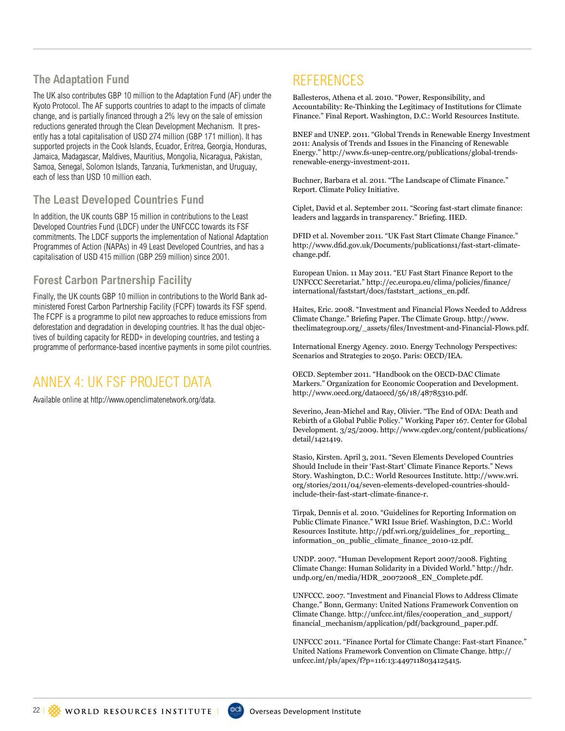#### **The Adaptation Fund**

The UK also contributes GBP 10 million to the Adaptation Fund (AF) under the Kyoto Protocol. The AF supports countries to adapt to the impacts of climate change, and is partially financed through a 2% levy on the sale of emission reductions generated through the Clean Development Mechanism. It presently has a total capitalisation of USD 274 million (GBP 171 million). It has supported projects in the Cook Islands, Ecuador, Eritrea, Georgia, Honduras, Jamaica, Madagascar, Maldives, Mauritius, Mongolia, Nicaragua, Pakistan, Samoa, Senegal, Solomon Islands, Tanzania, Turkmenistan, and Uruguay, each of less than USD 10 million each.

#### **The Least Developed Countries Fund**

In addition, the UK counts GBP 15 million in contributions to the Least Developed Countries Fund (LDCF) under the UNFCCC towards its FSF commitments. The LDCF supports the implementation of National Adaptation Programmes of Action (NAPAs) in 49 Least Developed Countries, and has a capitalisation of USD 415 million (GBP 259 million) since 2001.

#### **Forest Carbon Partnership Facility**

Finally, the UK counts GBP 10 million in contributions to the World Bank administered Forest Carbon Partnership Facility (FCPF) towards its FSF spend. The FCPF is a programme to pilot new approaches to reduce emissions from deforestation and degradation in developing countries. It has the dual objectives of building capacity for REDD+ in developing countries, and testing a programme of performance-based incentive payments in some pilot countries.

# Annex 4: Uk FSF Project Data

Available online at http://www.openclimatenetwork.org/data.

# **REFERENCES**

Ballesteros, Athena et al. 2010. "Power, Responsibility, and Accountability: Re-Thinking the Legitimacy of Institutions for Climate Finance." Final Report. Washington, D.C.: World Resources Institute.

BNEF and UNEP. 2011. "Global Trends in Renewable Energy Investment 2011: Analysis of Trends and Issues in the Financing of Renewable Energy." http://www.fs-unep-centre.org/publications/global-trendsrenewable-energy-investment-2011.

Buchner, Barbara et al. 2011. "The Landscape of Climate Finance." Report. Climate Policy Initiative.

Ciplet, David et al. September 2011. "Scoring fast-start climate finance: leaders and laggards in transparency." Briefing. IIED.

DFID et al. November 2011. "UK Fast Start Climate Change Finance." http://www.dfid.gov.uk/Documents/publications1/fast-start-climatechange.pdf.

European Union. 11 May 2011. "EU Fast Start Finance Report to the UNFCCC Secretariat." http://ec.europa.eu/clima/policies/finance/ international/faststart/docs/faststart\_actions\_en.pdf.

Haites, Eric. 2008. "Investment and Financial Flows Needed to Address Climate Change." Briefing Paper. The Climate Group. http://www. theclimategroup.org/\_assets/files/Investment-and-Financial-Flows.pdf.

International Energy Agency. 2010. Energy Technology Perspectives: Scenarios and Strategies to 2050. Paris: OECD/IEA.

OECD. September 2011. "Handbook on the OECD-DAC Climate Markers." Organization for Economic Cooperation and Development. http://www.oecd.org/dataoecd/56/18/48785310.pdf.

Severino, Jean-Michel and Ray, Olivier. "The End of ODA: Death and Rebirth of a Global Public Policy." Working Paper 167. Center for Global Development. 3/25/2009. http://www.cgdev.org/content/publications/ detail/1421419.

Stasio, Kirsten. April 3, 2011. "Seven Elements Developed Countries Should Include in their 'Fast-Start' Climate Finance Reports." News Story. Washington, D.C.: World Resources Institute. http://www.wri. org/stories/2011/04/seven-elements-developed-countries-shouldinclude-their-fast-start-climate-finance-r.

Tirpak, Dennis et al. 2010. "Guidelines for Reporting Information on Public Climate Finance." WRI Issue Brief. Washington, D.C.: World Resources Institute. http://pdf.wri.org/guidelines\_for\_reporting\_ information\_on\_public\_climate\_finance\_2010-12.pdf.

UNDP. 2007. "Human Development Report 2007/2008. Fighting Climate Change: Human Solidarity in a Divided World." http://hdr. undp.org/en/media/HDR\_20072008\_EN\_Complete.pdf.

UNFCCC. 2007. "Investment and Financial Flows to Address Climate Change." Bonn, Germany: United Nations Framework Convention on Climate Change. http://unfccc.int/files/cooperation\_and\_support/ financial\_mechanism/application/pdf/background\_paper.pdf.

UNFCCC 2011. "Finance Portal for Climate Change: Fast-start Finance." United Nations Framework Convention on Climate Change. http:// unfccc.int/pls/apex/f?p=116:13:4497118034125415.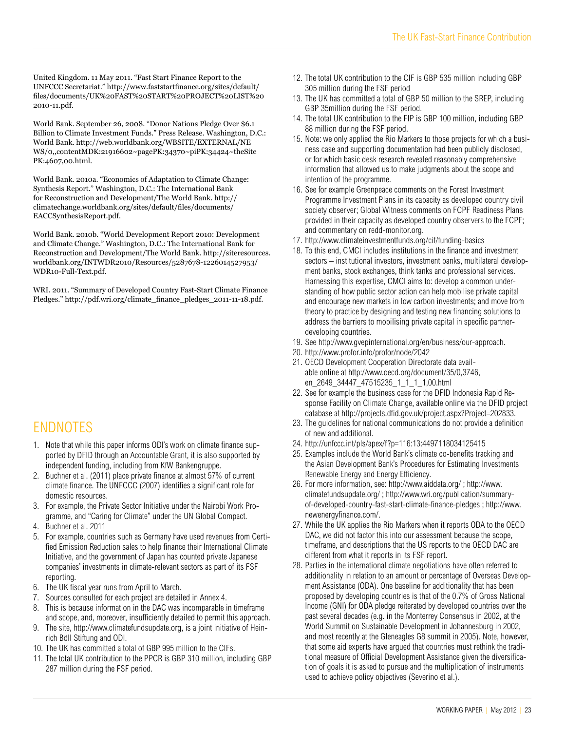United Kingdom. 11 May 2011. "Fast Start Finance Report to the UNFCCC Secretariat." http://www.faststartfinance.org/sites/default/ files/documents/UK%20FAST%20START%20PROJECT%20LIST%20 2010-11.pdf.

World Bank. September 26, 2008. "Donor Nations Pledge Over \$6.1 Billion to Climate Investment Funds." Press Release. Washington, D.C.: World Bank. http://web.worldbank.org/WBSITE/EXTERNAL/NE WS/0,,contentMDK:21916602~pagePK:34370~piPK:34424~theSite PK:4607,00.html.

World Bank. 2010a. "Economics of Adaptation to Climate Change: Synthesis Report." Washington, D.C.: The International Bank for Reconstruction and Development/The World Bank. http:// climatechange.worldbank.org/sites/default/files/documents/ EACCSynthesisReport.pdf.

World Bank. 2010b. "World Development Report 2010: Development and Climate Change." Washington, D.C.: The International Bank for Reconstruction and Development/The World Bank. http://siteresources. worldbank.org/INTWDR2010/Resources/5287678-1226014527953/ WDR10-Full-Text.pdf.

WRI. 2011. "Summary of Developed Country Fast-Start Climate Finance Pledges." http://pdf.wri.org/climate\_finance\_pledges\_2011-11-18.pdf.

# **ENDNOTES**

- 1. Note that while this paper informs ODI's work on climate finance supported by DFID through an Accountable Grant, it is also supported by independent funding, including from KfW Bankengruppe.
- 2. Buchner et al. (2011) place private finance at almost 57% of current climate finance. The UNFCCC (2007) identifies a significant role for domestic resources.
- 3. For example, the Private Sector Initiative under the Nairobi Work Programme, and "Caring for Climate" under the UN Global Compact.
- 4. Buchner et al. 2011
- 5. For example, countries such as Germany have used revenues from Certified Emission Reduction sales to help finance their International Climate Initiative, and the government of Japan has counted private Japanese companies' investments in climate-relevant sectors as part of its FSF reporting.
- 6. The UK fiscal year runs from April to March.
- 7. Sources consulted for each project are detailed in Annex 4.
- 8. This is because information in the DAC was incomparable in timeframe and scope, and, moreover, insufficiently detailed to permit this approach.
- 9. The site, http://www.climatefundsupdate.org, is a joint initiative of Heinrich Böll Stiftung and ODI.
- 10. The UK has committed a total of GBP 995 million to the CIFs.
- 11. The total UK contribution to the PPCR is GBP 310 million, including GBP 287 million during the FSF period.
- 12. The total UK contribution to the CIF is GBP 535 million including GBP 305 million during the FSF period
- 13. The UK has committed a total of GBP 50 million to the SREP, including GBP 35million during the FSF period.
- 14. The total UK contribution to the FIP is GBP 100 million, including GBP 88 million during the FSF period.
- 15. Note: we only applied the Rio Markers to those projects for which a business case and supporting documentation had been publicly disclosed, or for which basic desk research revealed reasonably comprehensive information that allowed us to make judgments about the scope and intention of the programme.
- 16. See for example Greenpeace comments on the Forest Investment Programme Investment Plans in its capacity as developed country civil society observer; Global Witness comments on FCPF Readiness Plans provided in their capacity as developed country observers to the FCPF; and commentary on redd-monitor.org.
- 17. http://www.climateinvestmentfunds.org/cif/funding-basics
- 18. To this end, CMCI includes institutions in the finance and investment sectors – institutional investors, investment banks, multilateral development banks, stock exchanges, think tanks and professional services. Harnessing this expertise, CMCI aims to: develop a common understanding of how public sector action can help mobilise private capital and encourage new markets in low carbon investments; and move from theory to practice by designing and testing new financing solutions to address the barriers to mobilising private capital in specific partnerdeveloping countries.
- 19. See http://www.gvepinternational.org/en/business/our-approach.
- 20. http://www.profor.info/profor/node/2042
- 21. OECD Development Cooperation Directorate data available online at http://www.oecd.org/document/35/0,3746, en\_2649\_34447\_47515235\_1\_1\_1\_1,00.html
- 22. See for example the business case for the DFID Indonesia Rapid Response Facility on Climate Change, available online via the DFID project database at http://projects.dfid.gov.uk/project.aspx?Project=202833.
- 23. The guidelines for national communications do not provide a definition of new and additional.
- 24. http://unfccc.int/pls/apex/f?p=116:13:4497118034125415
- 25. Examples include the World Bank's climate co-benefits tracking and the Asian Development Bank's Procedures for Estimating Investments Renewable Energy and Energy Efficiency.
- 26. For more information, see: http://www.aiddata.org/ ; http://www. climatefundsupdate.org/ ; http://www.wri.org/publication/summaryof-developed-country-fast-start-climate-finance-pledges ; http://www. newenergyfinance.com/.
- 27. While the UK applies the Rio Markers when it reports ODA to the OECD DAC, we did not factor this into our assessment because the scope, timeframe, and descriptions that the US reports to the OECD DAC are different from what it reports in its FSF report.
- 28. Parties in the international climate negotiations have often referred to additionality in relation to an amount or percentage of Overseas Development Assistance (ODA). One baseline for additionality that has been proposed by developing countries is that of the 0.7% of Gross National Income (GNI) for ODA pledge reiterated by developed countries over the past several decades (e.g. in the Monterrey Consensus in 2002, at the World Summit on Sustainable Development in Johannesburg in 2002, and most recently at the Gleneagles G8 summit in 2005). Note, however, that some aid experts have argued that countries must rethink the traditional measure of Official Development Assistance given the diversification of goals it is asked to pursue and the multiplication of instruments used to achieve policy objectives (Severino et al.).